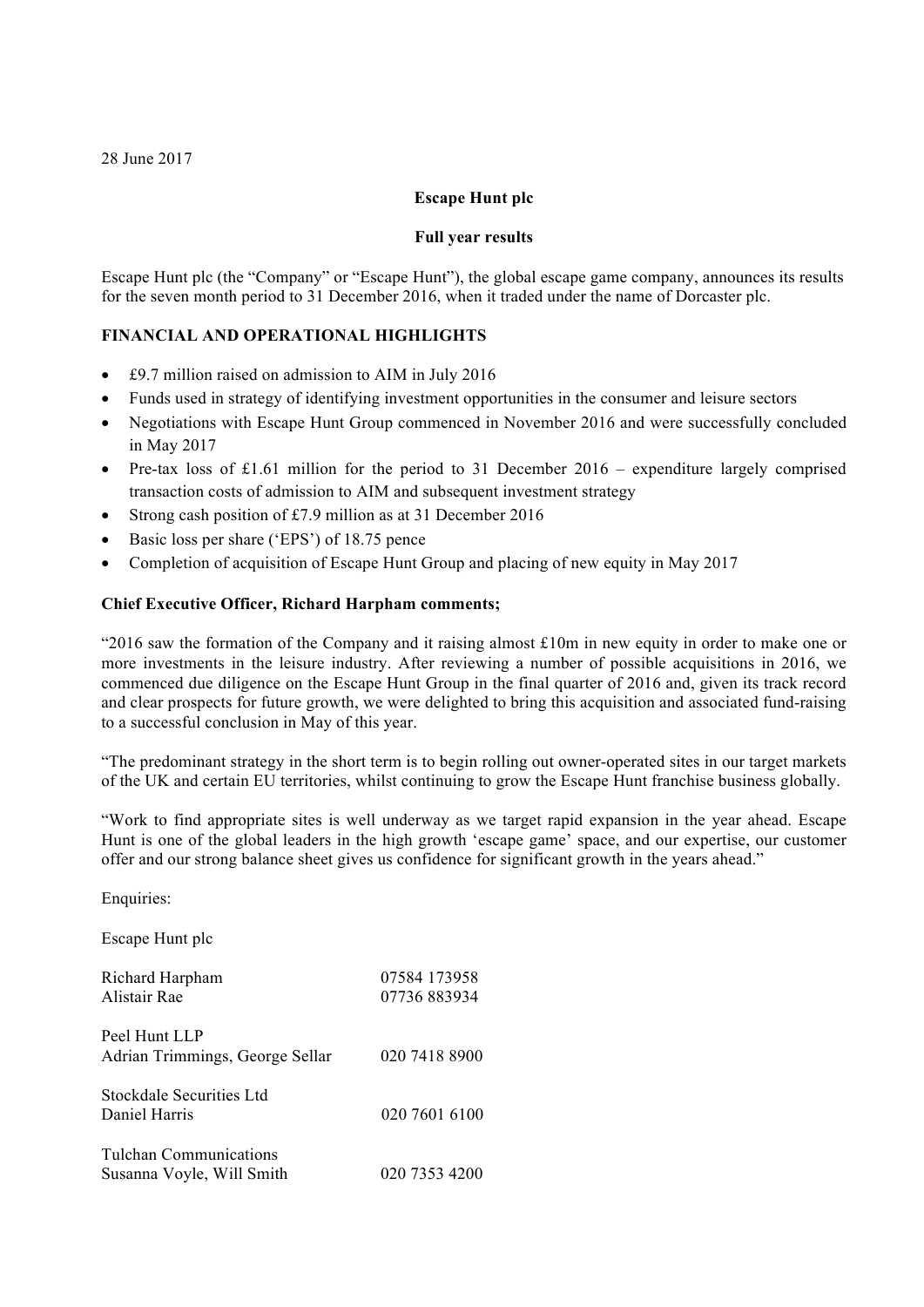# **Escape Hunt plc**

#### **Full year results**

Escape Hunt plc (the "Company" or "Escape Hunt"), the global escape game company, announces its results for the seven month period to 31 December 2016, when it traded under the name of Dorcaster plc.

# **FINANCIAL AND OPERATIONAL HIGHLIGHTS**

- £9.7 million raised on admission to AIM in July 2016
- Funds used in strategy of identifying investment opportunities in the consumer and leisure sectors
- Negotiations with Escape Hunt Group commenced in November 2016 and were successfully concluded in May 2017
- Pre-tax loss of £1.61 million for the period to 31 December 2016 expenditure largely comprised transaction costs of admission to AIM and subsequent investment strategy
- Strong cash position of £7.9 million as at 31 December 2016
- Basic loss per share ('EPS') of 18.75 pence
- Completion of acquisition of Escape Hunt Group and placing of new equity in May 2017

## **Chief Executive Officer, Richard Harpham comments;**

"2016 saw the formation of the Company and it raising almost £10m in new equity in order to make one or more investments in the leisure industry. After reviewing a number of possible acquisitions in 2016, we commenced due diligence on the Escape Hunt Group in the final quarter of 2016 and, given its track record and clear prospects for future growth, we were delighted to bring this acquisition and associated fund-raising to a successful conclusion in May of this year.

"The predominant strategy in the short term is to begin rolling out owner-operated sites in our target markets of the UK and certain EU territories, whilst continuing to grow the Escape Hunt franchise business globally.

"Work to find appropriate sites is well underway as we target rapid expansion in the year ahead. Escape Hunt is one of the global leaders in the high growth 'escape game' space, and our expertise, our customer offer and our strong balance sheet gives us confidence for significant growth in the years ahead."

Enquiries:

Escape Hunt plc

| Richard Harpham<br>Alistair Rae                     | 07584 173958<br>07736883934 |
|-----------------------------------------------------|-----------------------------|
| Peel Hunt LLP<br>Adrian Trimmings, George Sellar    | 020 7418 8900               |
| <b>Stockdale Securities Ltd</b><br>Daniel Harris    | 020 7601 6100               |
| Tulchan Communications<br>Susanna Voyle, Will Smith | 020 7353 4200               |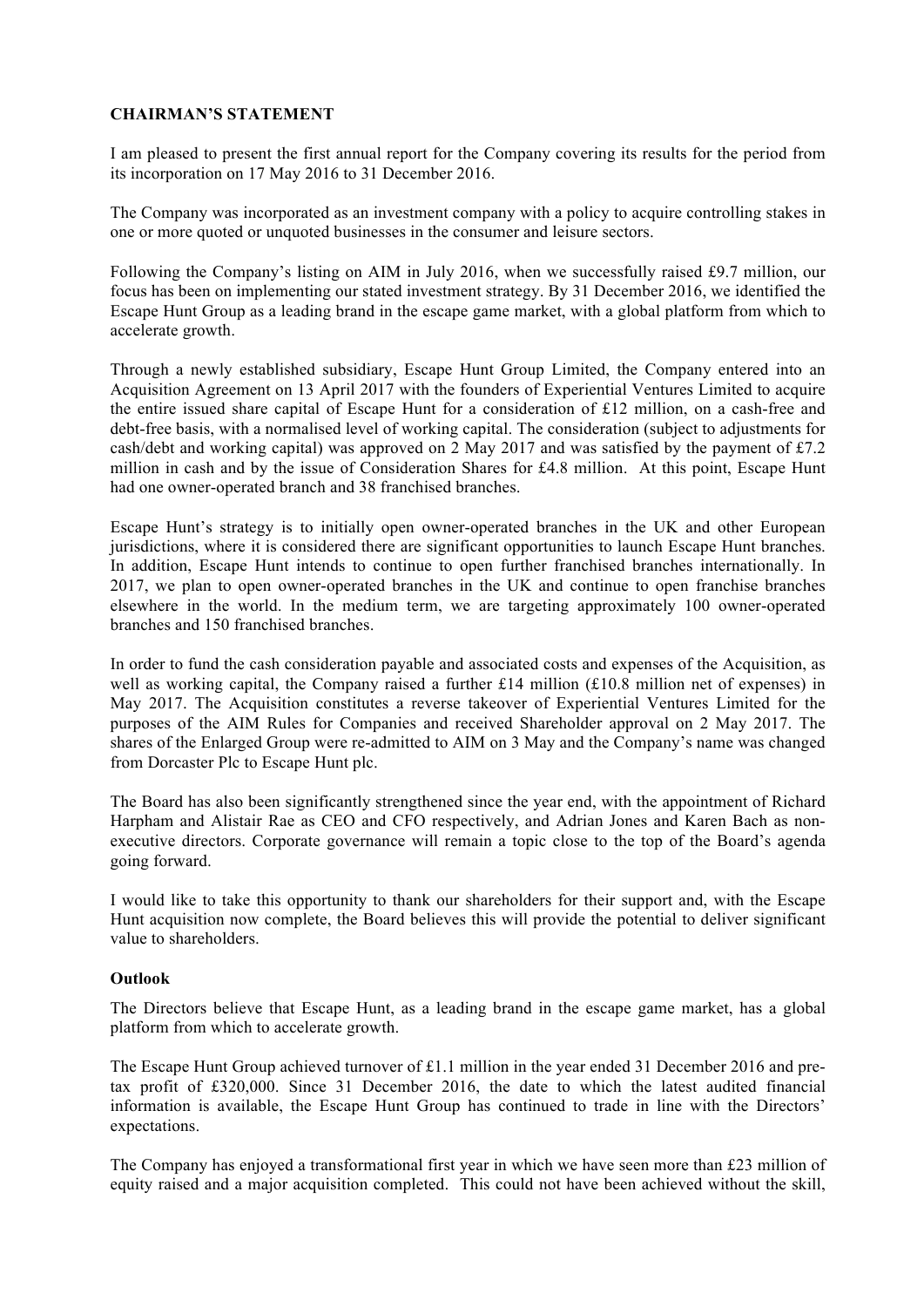# **CHAIRMAN'S STATEMENT**

I am pleased to present the first annual report for the Company covering its results for the period from its incorporation on 17 May 2016 to 31 December 2016.

The Company was incorporated as an investment company with a policy to acquire controlling stakes in one or more quoted or unquoted businesses in the consumer and leisure sectors.

Following the Company's listing on AIM in July 2016, when we successfully raised £9.7 million, our focus has been on implementing our stated investment strategy. By 31 December 2016, we identified the Escape Hunt Group as a leading brand in the escape game market, with a global platform from which to accelerate growth.

Through a newly established subsidiary, Escape Hunt Group Limited, the Company entered into an Acquisition Agreement on 13 April 2017 with the founders of Experiential Ventures Limited to acquire the entire issued share capital of Escape Hunt for a consideration of £12 million, on a cash-free and debt-free basis, with a normalised level of working capital. The consideration (subject to adjustments for cash/debt and working capital) was approved on 2 May 2017 and was satisfied by the payment of £7.2 million in cash and by the issue of Consideration Shares for £4.8 million. At this point, Escape Hunt had one owner-operated branch and 38 franchised branches.

Escape Hunt's strategy is to initially open owner-operated branches in the UK and other European jurisdictions, where it is considered there are significant opportunities to launch Escape Hunt branches. In addition, Escape Hunt intends to continue to open further franchised branches internationally. In 2017, we plan to open owner-operated branches in the UK and continue to open franchise branches elsewhere in the world. In the medium term, we are targeting approximately 100 owner-operated branches and 150 franchised branches.

In order to fund the cash consideration payable and associated costs and expenses of the Acquisition, as well as working capital, the Company raised a further £14 million (£10.8 million net of expenses) in May 2017. The Acquisition constitutes a reverse takeover of Experiential Ventures Limited for the purposes of the AIM Rules for Companies and received Shareholder approval on 2 May 2017. The shares of the Enlarged Group were re-admitted to AIM on 3 May and the Company's name was changed from Dorcaster Plc to Escape Hunt plc.

The Board has also been significantly strengthened since the year end, with the appointment of Richard Harpham and Alistair Rae as CEO and CFO respectively, and Adrian Jones and Karen Bach as nonexecutive directors. Corporate governance will remain a topic close to the top of the Board's agenda going forward.

I would like to take this opportunity to thank our shareholders for their support and, with the Escape Hunt acquisition now complete, the Board believes this will provide the potential to deliver significant value to shareholders.

## **Outlook**

The Directors believe that Escape Hunt, as a leading brand in the escape game market, has a global platform from which to accelerate growth.

The Escape Hunt Group achieved turnover of £1.1 million in the year ended 31 December 2016 and pretax profit of £320,000. Since 31 December 2016, the date to which the latest audited financial information is available, the Escape Hunt Group has continued to trade in line with the Directors' expectations.

The Company has enjoyed a transformational first year in which we have seen more than £23 million of equity raised and a major acquisition completed. This could not have been achieved without the skill,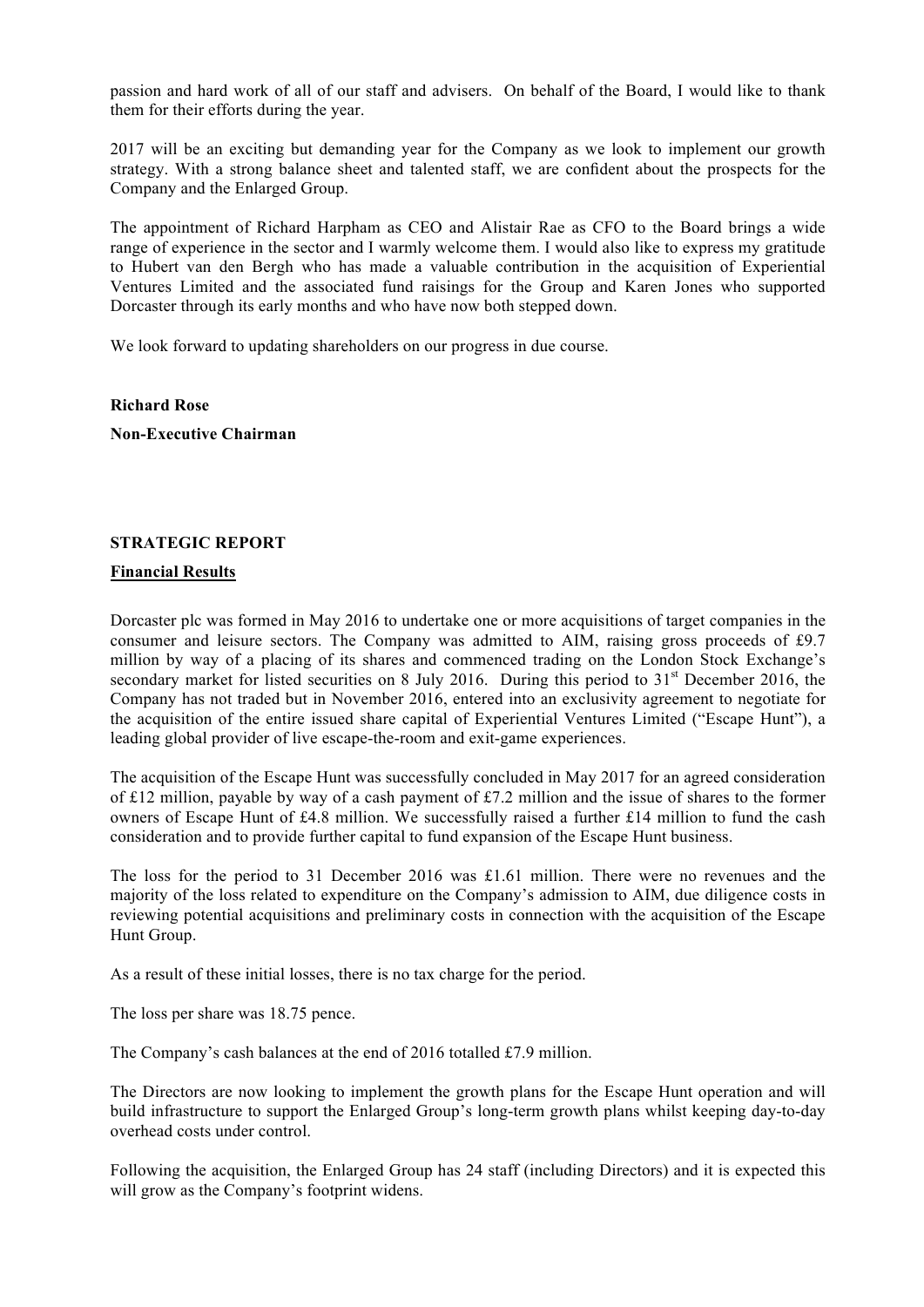passion and hard work of all of our staff and advisers. On behalf of the Board, I would like to thank them for their efforts during the year.

2017 will be an exciting but demanding year for the Company as we look to implement our growth strategy. With a strong balance sheet and talented staff, we are confident about the prospects for the Company and the Enlarged Group.

The appointment of Richard Harpham as CEO and Alistair Rae as CFO to the Board brings a wide range of experience in the sector and I warmly welcome them. I would also like to express my gratitude to Hubert van den Bergh who has made a valuable contribution in the acquisition of Experiential Ventures Limited and the associated fund raisings for the Group and Karen Jones who supported Dorcaster through its early months and who have now both stepped down.

We look forward to updating shareholders on our progress in due course.

**Richard Rose Non-Executive Chairman**

#### **STRATEGIC REPORT**

#### **Financial Results**

Dorcaster plc was formed in May 2016 to undertake one or more acquisitions of target companies in the consumer and leisure sectors. The Company was admitted to AIM, raising gross proceeds of £9.7 million by way of a placing of its shares and commenced trading on the London Stock Exchange's secondary market for listed securities on 8 July 2016. During this period to 31<sup>st</sup> December 2016, the Company has not traded but in November 2016, entered into an exclusivity agreement to negotiate for the acquisition of the entire issued share capital of Experiential Ventures Limited ("Escape Hunt"), a leading global provider of live escape-the-room and exit-game experiences.

The acquisition of the Escape Hunt was successfully concluded in May 2017 for an agreed consideration of £12 million, payable by way of a cash payment of £7.2 million and the issue of shares to the former owners of Escape Hunt of £4.8 million. We successfully raised a further £14 million to fund the cash consideration and to provide further capital to fund expansion of the Escape Hunt business.

The loss for the period to 31 December 2016 was £1.61 million. There were no revenues and the majority of the loss related to expenditure on the Company's admission to AIM, due diligence costs in reviewing potential acquisitions and preliminary costs in connection with the acquisition of the Escape Hunt Group.

As a result of these initial losses, there is no tax charge for the period.

The loss per share was 18.75 pence.

The Company's cash balances at the end of 2016 totalled £7.9 million.

The Directors are now looking to implement the growth plans for the Escape Hunt operation and will build infrastructure to support the Enlarged Group's long-term growth plans whilst keeping day-to-day overhead costs under control.

Following the acquisition, the Enlarged Group has 24 staff (including Directors) and it is expected this will grow as the Company's footprint widens.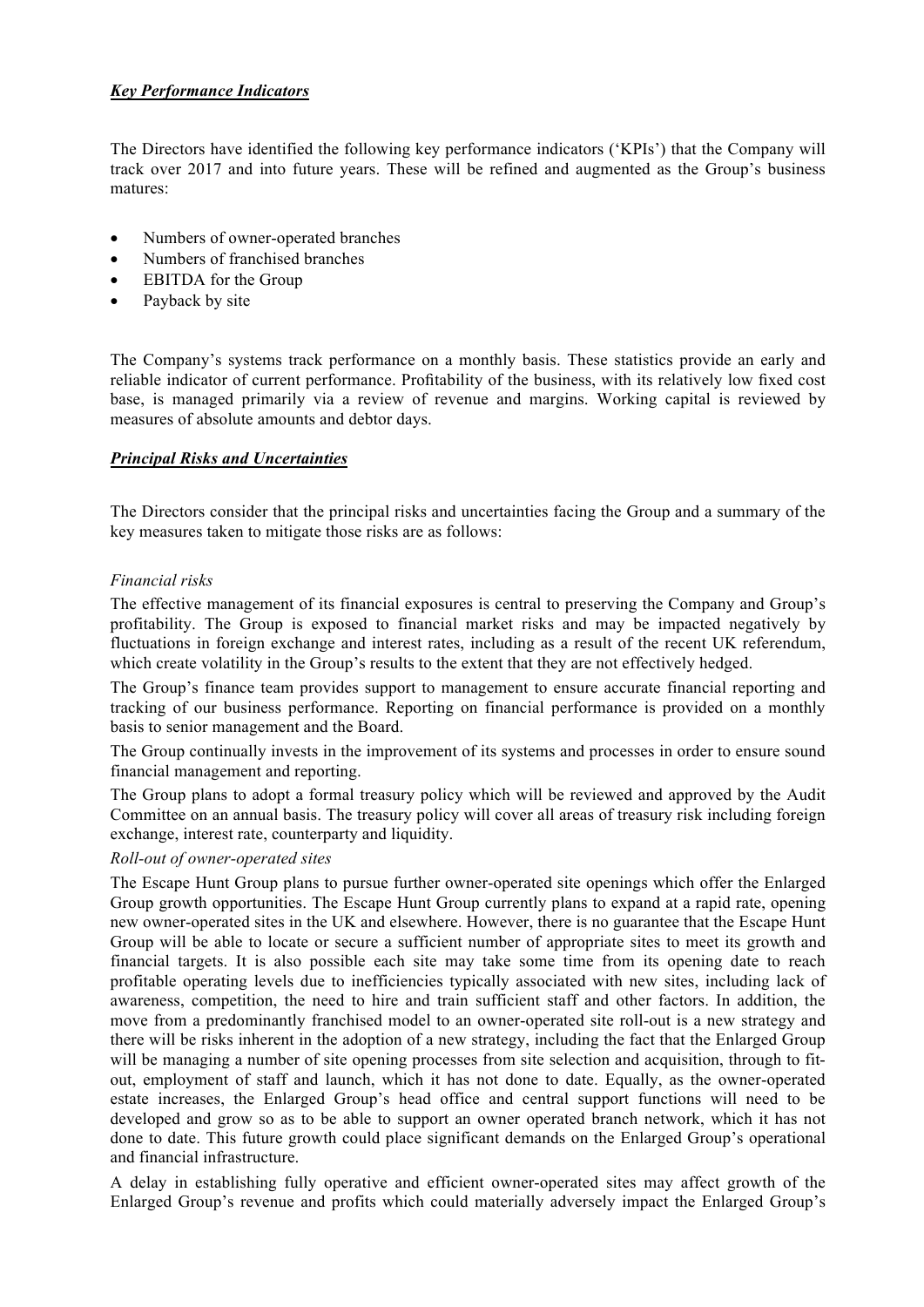# *Key Performance Indicators*

The Directors have identified the following key performance indicators ('KPIs') that the Company will track over 2017 and into future years. These will be refined and augmented as the Group's business matures:

- Numbers of owner-operated branches
- Numbers of franchised branches
- EBITDA for the Group
- Payback by site

The Company's systems track performance on a monthly basis. These statistics provide an early and reliable indicator of current performance. Profitability of the business, with its relatively low fixed cost base, is managed primarily via a review of revenue and margins. Working capital is reviewed by measures of absolute amounts and debtor days.

## *Principal Risks and Uncertainties*

The Directors consider that the principal risks and uncertainties facing the Group and a summary of the key measures taken to mitigate those risks are as follows:

## *Financial risks*

The effective management of its financial exposures is central to preserving the Company and Group's profitability. The Group is exposed to financial market risks and may be impacted negatively by fluctuations in foreign exchange and interest rates, including as a result of the recent UK referendum, which create volatility in the Group's results to the extent that they are not effectively hedged.

The Group's finance team provides support to management to ensure accurate financial reporting and tracking of our business performance. Reporting on financial performance is provided on a monthly basis to senior management and the Board.

The Group continually invests in the improvement of its systems and processes in order to ensure sound financial management and reporting.

The Group plans to adopt a formal treasury policy which will be reviewed and approved by the Audit Committee on an annual basis. The treasury policy will cover all areas of treasury risk including foreign exchange, interest rate, counterparty and liquidity.

## *Roll-out of owner-operated sites*

The Escape Hunt Group plans to pursue further owner-operated site openings which offer the Enlarged Group growth opportunities. The Escape Hunt Group currently plans to expand at a rapid rate, opening new owner-operated sites in the UK and elsewhere. However, there is no guarantee that the Escape Hunt Group will be able to locate or secure a sufficient number of appropriate sites to meet its growth and financial targets. It is also possible each site may take some time from its opening date to reach profitable operating levels due to inefficiencies typically associated with new sites, including lack of awareness, competition, the need to hire and train sufficient staff and other factors. In addition, the move from a predominantly franchised model to an owner-operated site roll-out is a new strategy and there will be risks inherent in the adoption of a new strategy, including the fact that the Enlarged Group will be managing a number of site opening processes from site selection and acquisition, through to fitout, employment of staff and launch, which it has not done to date. Equally, as the owner-operated estate increases, the Enlarged Group's head office and central support functions will need to be developed and grow so as to be able to support an owner operated branch network, which it has not done to date. This future growth could place significant demands on the Enlarged Group's operational and financial infrastructure.

A delay in establishing fully operative and efficient owner-operated sites may affect growth of the Enlarged Group's revenue and profits which could materially adversely impact the Enlarged Group's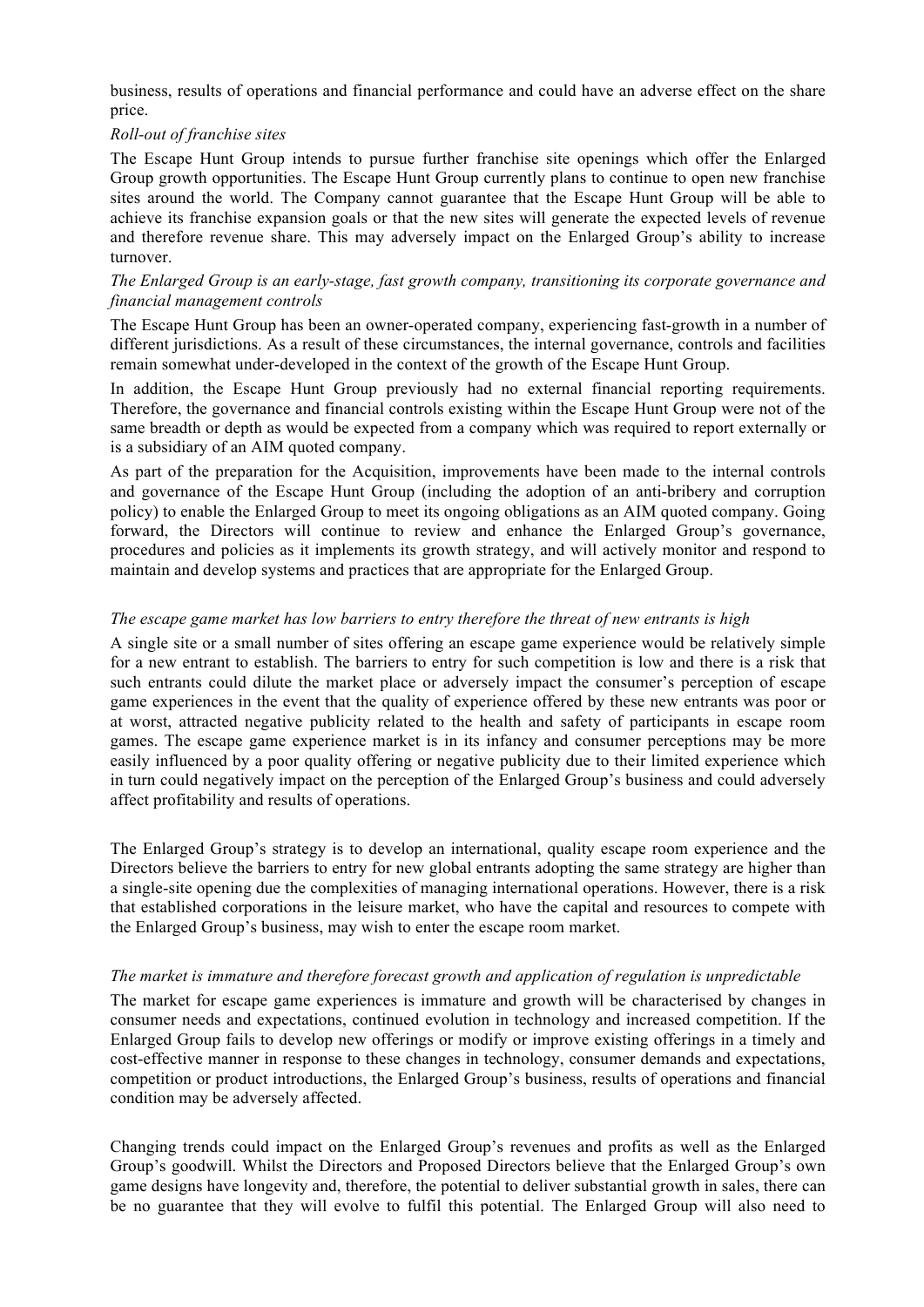business, results of operations and financial performance and could have an adverse effect on the share price.

#### *Roll-out of franchise sites*

The Escape Hunt Group intends to pursue further franchise site openings which offer the Enlarged Group growth opportunities. The Escape Hunt Group currently plans to continue to open new franchise sites around the world. The Company cannot guarantee that the Escape Hunt Group will be able to achieve its franchise expansion goals or that the new sites will generate the expected levels of revenue and therefore revenue share. This may adversely impact on the Enlarged Group's ability to increase turnover.

## *The Enlarged Group is an early-stage, fast growth company, transitioning its corporate governance and financial management controls*

The Escape Hunt Group has been an owner-operated company, experiencing fast-growth in a number of different jurisdictions. As a result of these circumstances, the internal governance, controls and facilities remain somewhat under-developed in the context of the growth of the Escape Hunt Group.

In addition, the Escape Hunt Group previously had no external financial reporting requirements. Therefore, the governance and financial controls existing within the Escape Hunt Group were not of the same breadth or depth as would be expected from a company which was required to report externally or is a subsidiary of an AIM quoted company.

As part of the preparation for the Acquisition, improvements have been made to the internal controls and governance of the Escape Hunt Group (including the adoption of an anti-bribery and corruption policy) to enable the Enlarged Group to meet its ongoing obligations as an AIM quoted company. Going forward, the Directors will continue to review and enhance the Enlarged Group's governance, procedures and policies as it implements its growth strategy, and will actively monitor and respond to maintain and develop systems and practices that are appropriate for the Enlarged Group.

#### *The escape game market has low barriers to entry therefore the threat of new entrants is high*

A single site or a small number of sites offering an escape game experience would be relatively simple for a new entrant to establish. The barriers to entry for such competition is low and there is a risk that such entrants could dilute the market place or adversely impact the consumer's perception of escape game experiences in the event that the quality of experience offered by these new entrants was poor or at worst, attracted negative publicity related to the health and safety of participants in escape room games. The escape game experience market is in its infancy and consumer perceptions may be more easily influenced by a poor quality offering or negative publicity due to their limited experience which in turn could negatively impact on the perception of the Enlarged Group's business and could adversely affect profitability and results of operations.

The Enlarged Group's strategy is to develop an international, quality escape room experience and the Directors believe the barriers to entry for new global entrants adopting the same strategy are higher than a single-site opening due the complexities of managing international operations. However, there is a risk that established corporations in the leisure market, who have the capital and resources to compete with the Enlarged Group's business, may wish to enter the escape room market.

#### *The market is immature and therefore forecast growth and application of regulation is unpredictable*

The market for escape game experiences is immature and growth will be characterised by changes in consumer needs and expectations, continued evolution in technology and increased competition. If the Enlarged Group fails to develop new offerings or modify or improve existing offerings in a timely and cost-effective manner in response to these changes in technology, consumer demands and expectations, competition or product introductions, the Enlarged Group's business, results of operations and financial condition may be adversely affected.

Changing trends could impact on the Enlarged Group's revenues and profits as well as the Enlarged Group's goodwill. Whilst the Directors and Proposed Directors believe that the Enlarged Group's own game designs have longevity and, therefore, the potential to deliver substantial growth in sales, there can be no guarantee that they will evolve to fulfil this potential. The Enlarged Group will also need to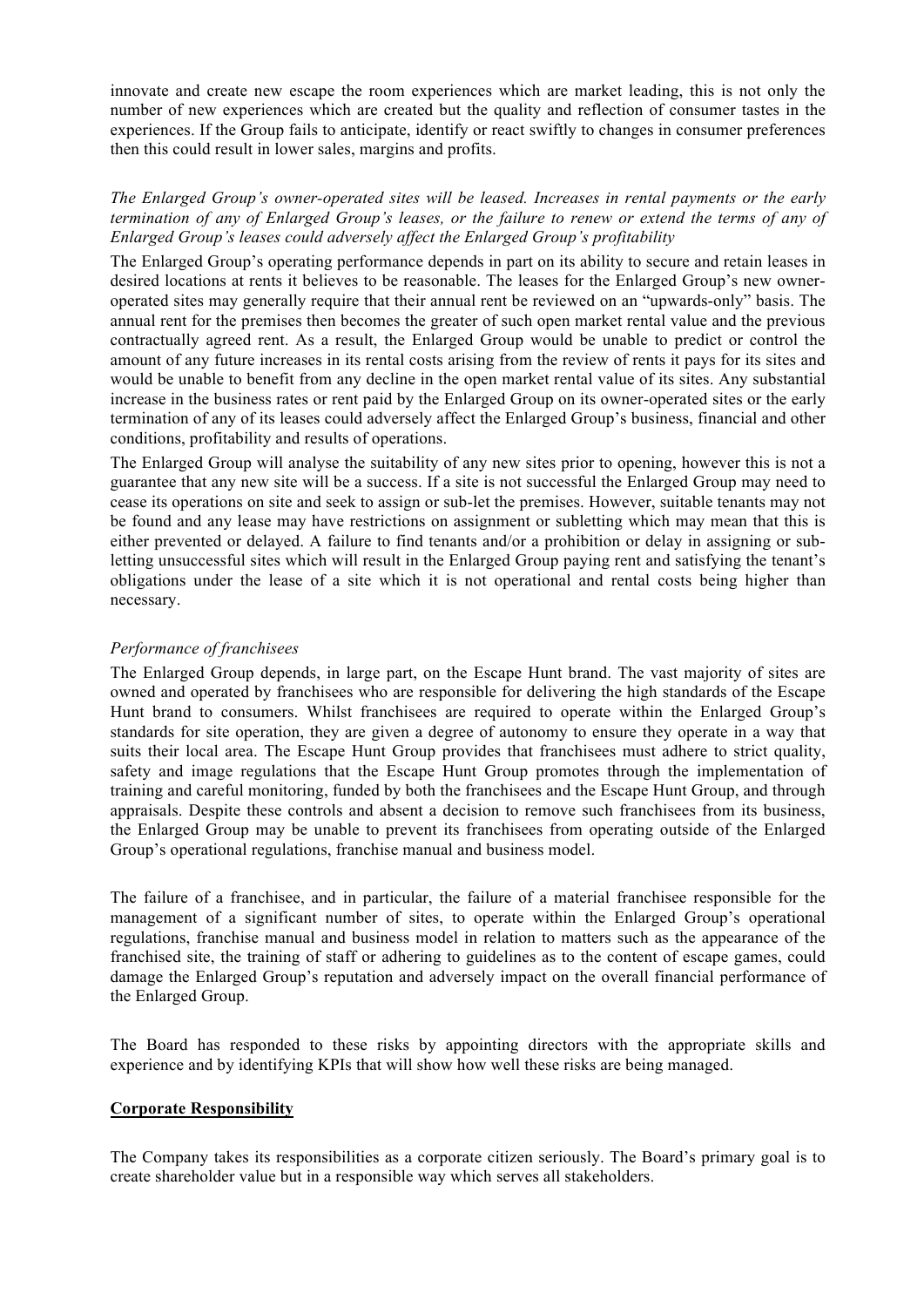innovate and create new escape the room experiences which are market leading, this is not only the number of new experiences which are created but the quality and reflection of consumer tastes in the experiences. If the Group fails to anticipate, identify or react swiftly to changes in consumer preferences then this could result in lower sales, margins and profits.

## *The Enlarged Group's owner-operated sites will be leased. Increases in rental payments or the early termination of any of Enlarged Group's leases, or the failure to renew or extend the terms of any of Enlarged Group's leases could adversely affect the Enlarged Group's profitability*

The Enlarged Group's operating performance depends in part on its ability to secure and retain leases in desired locations at rents it believes to be reasonable. The leases for the Enlarged Group's new owneroperated sites may generally require that their annual rent be reviewed on an "upwards-only" basis. The annual rent for the premises then becomes the greater of such open market rental value and the previous contractually agreed rent. As a result, the Enlarged Group would be unable to predict or control the amount of any future increases in its rental costs arising from the review of rents it pays for its sites and would be unable to benefit from any decline in the open market rental value of its sites. Any substantial increase in the business rates or rent paid by the Enlarged Group on its owner-operated sites or the early termination of any of its leases could adversely affect the Enlarged Group's business, financial and other conditions, profitability and results of operations.

The Enlarged Group will analyse the suitability of any new sites prior to opening, however this is not a guarantee that any new site will be a success. If a site is not successful the Enlarged Group may need to cease its operations on site and seek to assign or sub-let the premises. However, suitable tenants may not be found and any lease may have restrictions on assignment or subletting which may mean that this is either prevented or delayed. A failure to find tenants and/or a prohibition or delay in assigning or subletting unsuccessful sites which will result in the Enlarged Group paying rent and satisfying the tenant's obligations under the lease of a site which it is not operational and rental costs being higher than necessary.

## *Performance of franchisees*

The Enlarged Group depends, in large part, on the Escape Hunt brand. The vast majority of sites are owned and operated by franchisees who are responsible for delivering the high standards of the Escape Hunt brand to consumers. Whilst franchisees are required to operate within the Enlarged Group's standards for site operation, they are given a degree of autonomy to ensure they operate in a way that suits their local area. The Escape Hunt Group provides that franchisees must adhere to strict quality, safety and image regulations that the Escape Hunt Group promotes through the implementation of training and careful monitoring, funded by both the franchisees and the Escape Hunt Group, and through appraisals. Despite these controls and absent a decision to remove such franchisees from its business, the Enlarged Group may be unable to prevent its franchisees from operating outside of the Enlarged Group's operational regulations, franchise manual and business model.

The failure of a franchisee, and in particular, the failure of a material franchisee responsible for the management of a significant number of sites, to operate within the Enlarged Group's operational regulations, franchise manual and business model in relation to matters such as the appearance of the franchised site, the training of staff or adhering to guidelines as to the content of escape games, could damage the Enlarged Group's reputation and adversely impact on the overall financial performance of the Enlarged Group.

The Board has responded to these risks by appointing directors with the appropriate skills and experience and by identifying KPIs that will show how well these risks are being managed.

## **Corporate Responsibility**

The Company takes its responsibilities as a corporate citizen seriously. The Board's primary goal is to create shareholder value but in a responsible way which serves all stakeholders.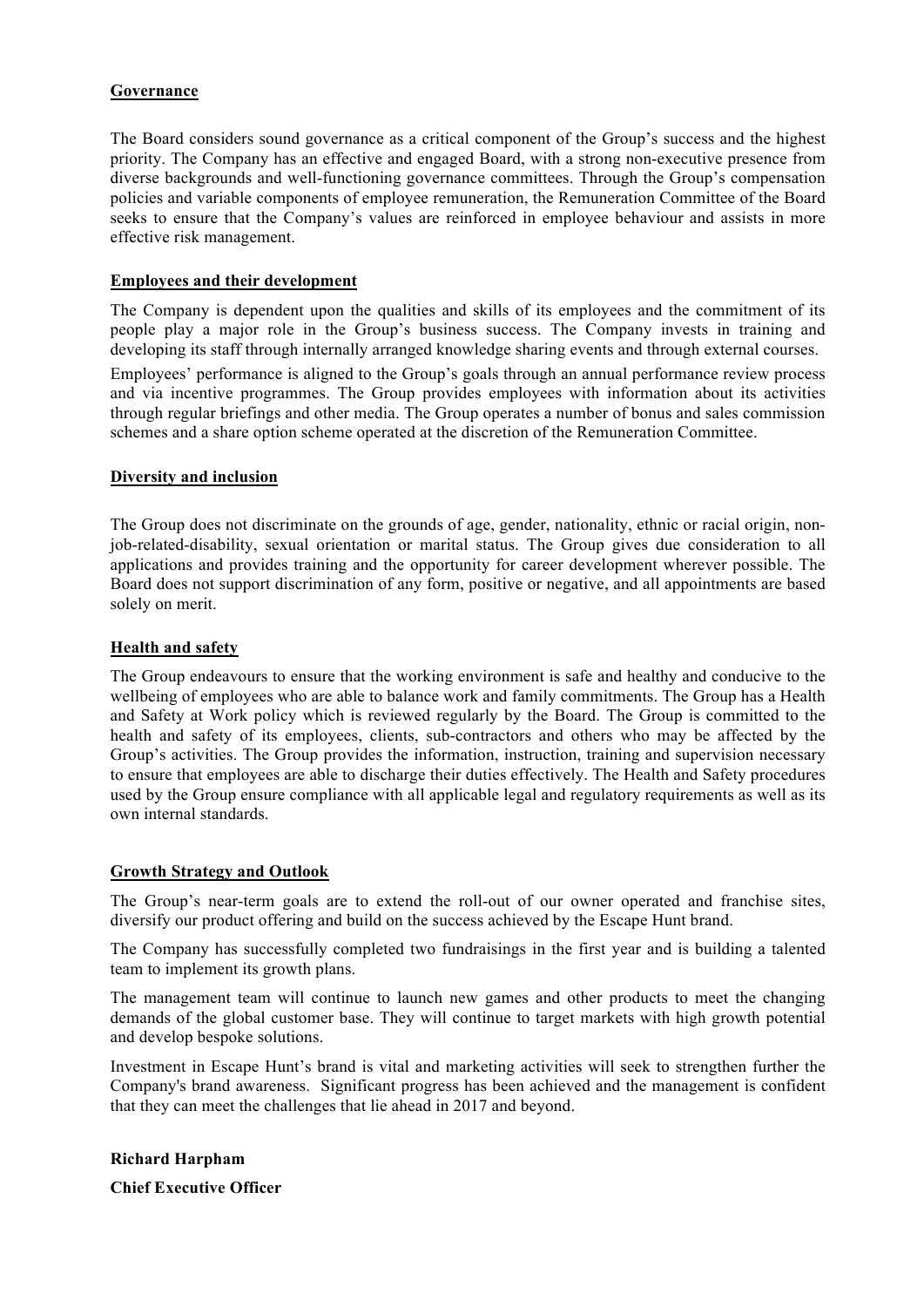# **Governance**

The Board considers sound governance as a critical component of the Group's success and the highest priority. The Company has an effective and engaged Board, with a strong non-executive presence from diverse backgrounds and well-functioning governance committees. Through the Group's compensation policies and variable components of employee remuneration, the Remuneration Committee of the Board seeks to ensure that the Company's values are reinforced in employee behaviour and assists in more effective risk management.

## **Employees and their development**

The Company is dependent upon the qualities and skills of its employees and the commitment of its people play a major role in the Group's business success. The Company invests in training and developing its staff through internally arranged knowledge sharing events and through external courses.

Employees' performance is aligned to the Group's goals through an annual performance review process and via incentive programmes. The Group provides employees with information about its activities through regular briefings and other media. The Group operates a number of bonus and sales commission schemes and a share option scheme operated at the discretion of the Remuneration Committee.

## **Diversity and inclusion**

The Group does not discriminate on the grounds of age, gender, nationality, ethnic or racial origin, nonjob-related-disability, sexual orientation or marital status. The Group gives due consideration to all applications and provides training and the opportunity for career development wherever possible. The Board does not support discrimination of any form, positive or negative, and all appointments are based solely on merit.

# **Health and safety**

The Group endeavours to ensure that the working environment is safe and healthy and conducive to the wellbeing of employees who are able to balance work and family commitments. The Group has a Health and Safety at Work policy which is reviewed regularly by the Board. The Group is committed to the health and safety of its employees, clients, sub-contractors and others who may be affected by the Group's activities. The Group provides the information, instruction, training and supervision necessary to ensure that employees are able to discharge their duties effectively. The Health and Safety procedures used by the Group ensure compliance with all applicable legal and regulatory requirements as well as its own internal standards.

## **Growth Strategy and Outlook**

The Group's near-term goals are to extend the roll-out of our owner operated and franchise sites, diversify our product offering and build on the success achieved by the Escape Hunt brand.

The Company has successfully completed two fundraisings in the first year and is building a talented team to implement its growth plans.

The management team will continue to launch new games and other products to meet the changing demands of the global customer base. They will continue to target markets with high growth potential and develop bespoke solutions.

Investment in Escape Hunt's brand is vital and marketing activities will seek to strengthen further the Company's brand awareness. Significant progress has been achieved and the management is confident that they can meet the challenges that lie ahead in 2017 and beyond.

## **Richard Harpham**

**Chief Executive Officer**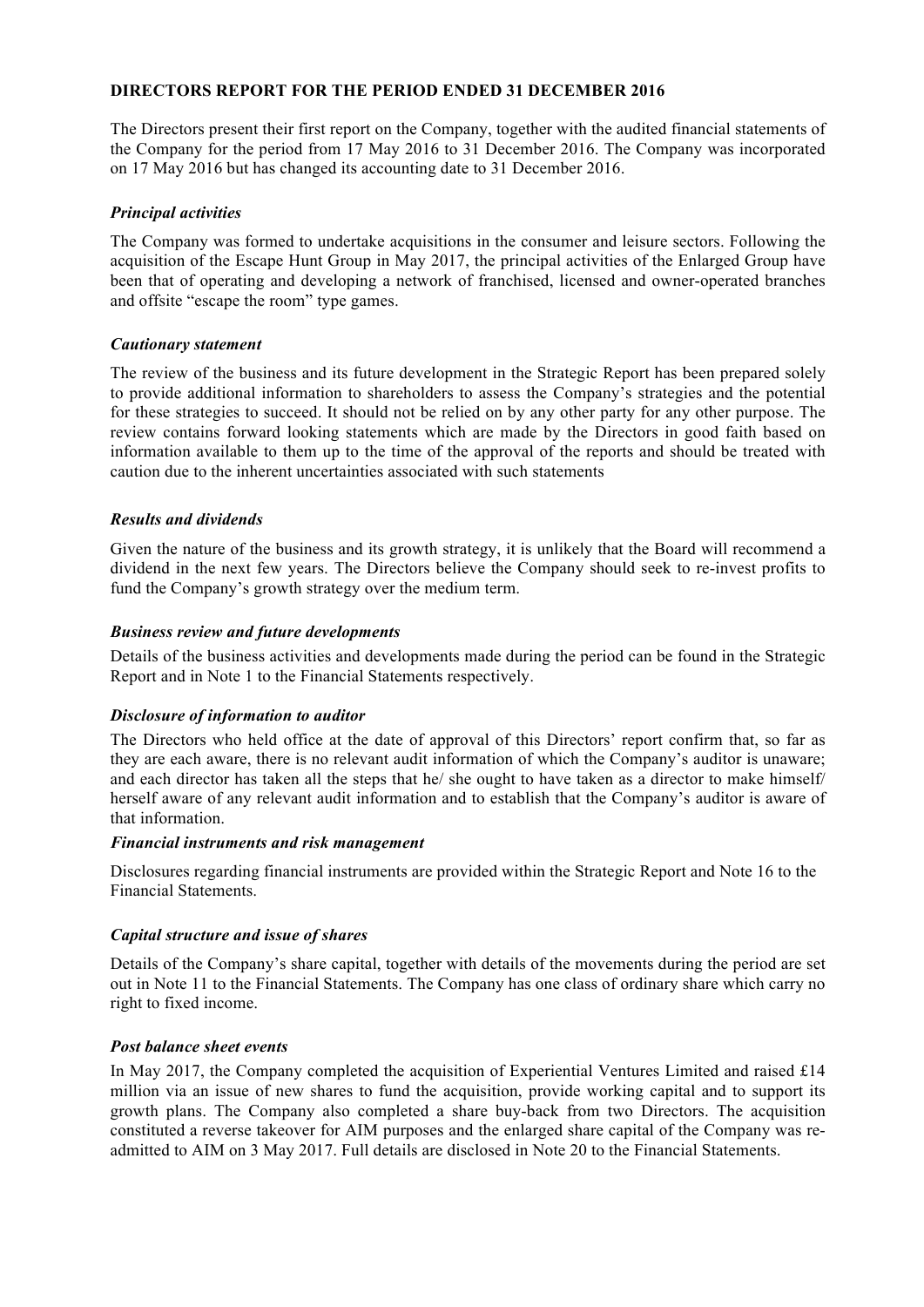# **DIRECTORS REPORT FOR THE PERIOD ENDED 31 DECEMBER 2016**

The Directors present their first report on the Company, together with the audited financial statements of the Company for the period from 17 May 2016 to 31 December 2016. The Company was incorporated on 17 May 2016 but has changed its accounting date to 31 December 2016.

# *Principal activities*

The Company was formed to undertake acquisitions in the consumer and leisure sectors. Following the acquisition of the Escape Hunt Group in May 2017, the principal activities of the Enlarged Group have been that of operating and developing a network of franchised, licensed and owner-operated branches and offsite "escape the room" type games.

# *Cautionary statement*

The review of the business and its future development in the Strategic Report has been prepared solely to provide additional information to shareholders to assess the Company's strategies and the potential for these strategies to succeed. It should not be relied on by any other party for any other purpose. The review contains forward looking statements which are made by the Directors in good faith based on information available to them up to the time of the approval of the reports and should be treated with caution due to the inherent uncertainties associated with such statements

# *Results and dividends*

Given the nature of the business and its growth strategy, it is unlikely that the Board will recommend a dividend in the next few years. The Directors believe the Company should seek to re-invest profits to fund the Company's growth strategy over the medium term.

# *Business review and future developments*

Details of the business activities and developments made during the period can be found in the Strategic Report and in Note 1 to the Financial Statements respectively.

## *Disclosure of information to auditor*

The Directors who held office at the date of approval of this Directors' report confirm that, so far as they are each aware, there is no relevant audit information of which the Company's auditor is unaware; and each director has taken all the steps that he/ she ought to have taken as a director to make himself/ herself aware of any relevant audit information and to establish that the Company's auditor is aware of that information.

## *Financial instruments and risk management*

Disclosures regarding financial instruments are provided within the Strategic Report and Note 16 to the Financial Statements.

## *Capital structure and issue of shares*

Details of the Company's share capital, together with details of the movements during the period are set out in Note 11 to the Financial Statements. The Company has one class of ordinary share which carry no right to fixed income.

## *Post balance sheet events*

In May 2017, the Company completed the acquisition of Experiential Ventures Limited and raised £14 million via an issue of new shares to fund the acquisition, provide working capital and to support its growth plans. The Company also completed a share buy-back from two Directors. The acquisition constituted a reverse takeover for AIM purposes and the enlarged share capital of the Company was readmitted to AIM on 3 May 2017. Full details are disclosed in Note 20 to the Financial Statements.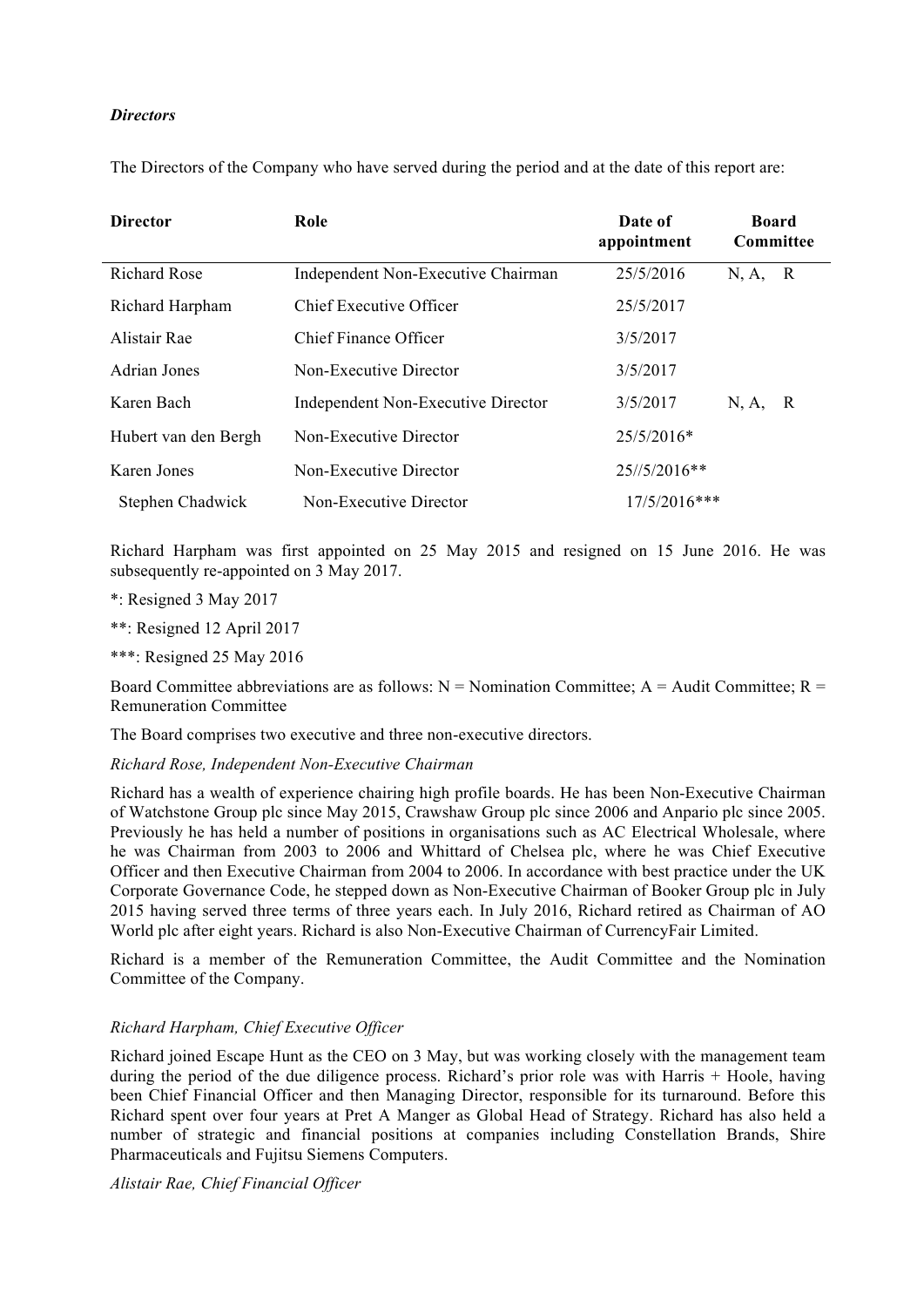# *Directors*

The Directors of the Company who have served during the period and at the date of this report are:

| <b>Director</b>      | Role                               | Date of<br>appointment | <b>Board</b><br>Committee |
|----------------------|------------------------------------|------------------------|---------------------------|
| <b>Richard Rose</b>  | Independent Non-Executive Chairman | 25/5/2016              | N, A, R                   |
| Richard Harpham      | Chief Executive Officer            | 25/5/2017              |                           |
| Alistair Rae         | <b>Chief Finance Officer</b>       | 3/5/2017               |                           |
| <b>Adrian Jones</b>  | Non-Executive Director             | 3/5/2017               |                           |
| Karen Bach           | Independent Non-Executive Director | 3/5/2017               | N, A, R                   |
| Hubert van den Bergh | Non-Executive Director             | $25/5/2016*$           |                           |
| Karen Jones          | Non-Executive Director             | $25\frac{15}{2016**}$  |                           |
| Stephen Chadwick     | Non-Executive Director             | 17/5/2016***           |                           |

Richard Harpham was first appointed on 25 May 2015 and resigned on 15 June 2016. He was subsequently re-appointed on 3 May 2017.

\*: Resigned 3 May 2017

\*\*: Resigned 12 April 2017

\*\*\*: Resigned 25 May 2016

Board Committee abbreviations are as follows:  $N =$  Nomination Committee;  $A =$  Audit Committee;  $R =$ Remuneration Committee

The Board comprises two executive and three non-executive directors.

#### *Richard Rose, Independent Non-Executive Chairman*

Richard has a wealth of experience chairing high profile boards. He has been Non-Executive Chairman of Watchstone Group plc since May 2015, Crawshaw Group plc since 2006 and Anpario plc since 2005. Previously he has held a number of positions in organisations such as AC Electrical Wholesale, where he was Chairman from 2003 to 2006 and Whittard of Chelsea plc, where he was Chief Executive Officer and then Executive Chairman from 2004 to 2006. In accordance with best practice under the UK Corporate Governance Code, he stepped down as Non-Executive Chairman of Booker Group plc in July 2015 having served three terms of three years each. In July 2016, Richard retired as Chairman of AO World plc after eight years. Richard is also Non-Executive Chairman of CurrencyFair Limited.

Richard is a member of the Remuneration Committee, the Audit Committee and the Nomination Committee of the Company.

## *Richard Harpham, Chief Executive Officer*

Richard joined Escape Hunt as the CEO on 3 May, but was working closely with the management team during the period of the due diligence process. Richard's prior role was with Harris + Hoole, having been Chief Financial Officer and then Managing Director, responsible for its turnaround. Before this Richard spent over four years at Pret A Manger as Global Head of Strategy. Richard has also held a number of strategic and financial positions at companies including Constellation Brands, Shire Pharmaceuticals and Fujitsu Siemens Computers.

*Alistair Rae, Chief Financial Officer*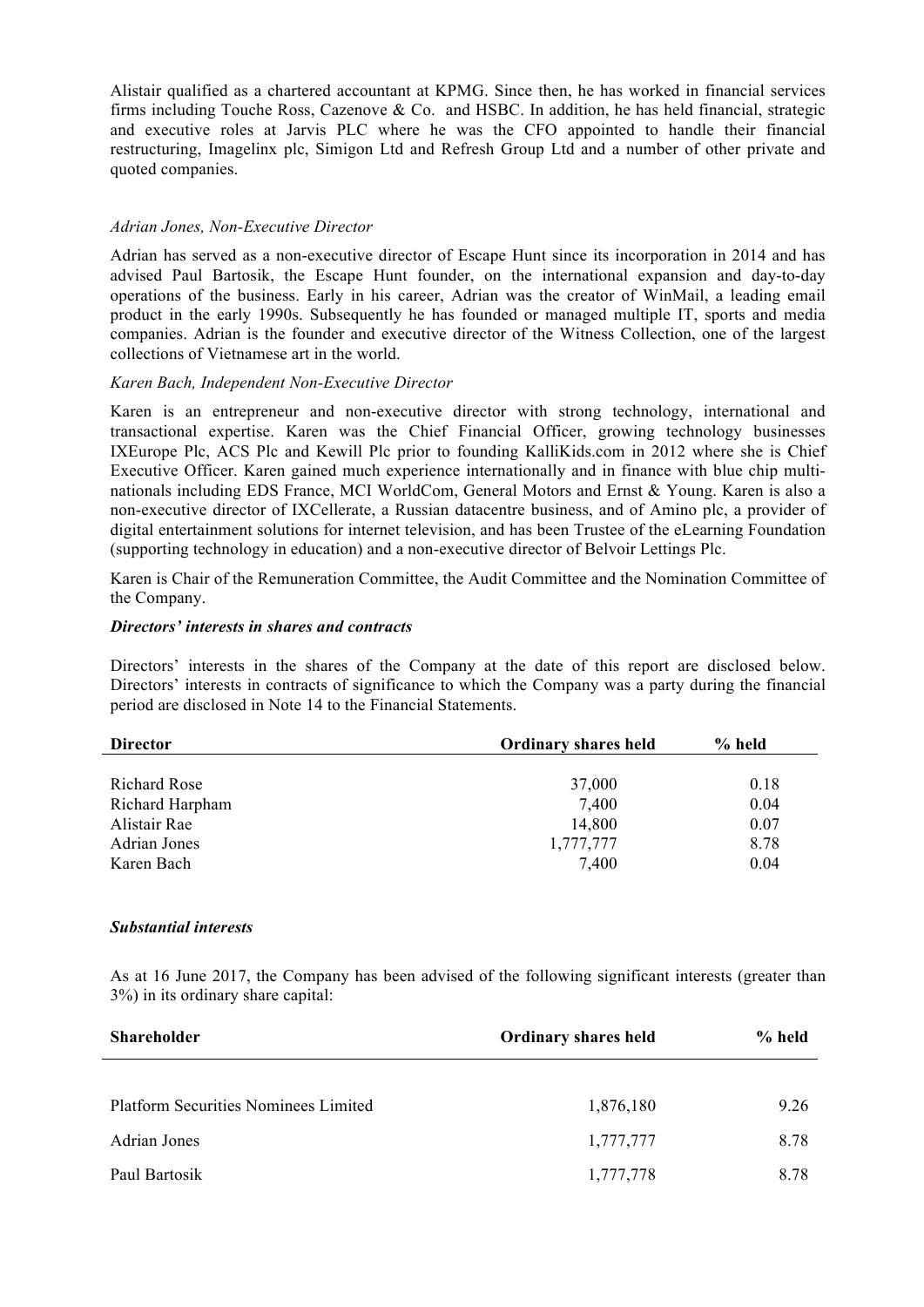Alistair qualified as a chartered accountant at KPMG. Since then, he has worked in financial services firms including Touche Ross, Cazenove & Co. and HSBC. In addition, he has held financial, strategic and executive roles at Jarvis PLC where he was the CFO appointed to handle their financial restructuring, Imagelinx plc, Simigon Ltd and Refresh Group Ltd and a number of other private and quoted companies.

## *Adrian Jones, Non-Executive Director*

Adrian has served as a non-executive director of Escape Hunt since its incorporation in 2014 and has advised Paul Bartosik, the Escape Hunt founder, on the international expansion and day-to-day operations of the business. Early in his career, Adrian was the creator of WinMail, a leading email product in the early 1990s. Subsequently he has founded or managed multiple IT, sports and media companies. Adrian is the founder and executive director of the Witness Collection, one of the largest collections of Vietnamese art in the world.

## *Karen Bach, Independent Non-Executive Director*

Karen is an entrepreneur and non-executive director with strong technology, international and transactional expertise. Karen was the Chief Financial Officer, growing technology businesses IXEurope Plc, ACS Plc and Kewill Plc prior to founding KalliKids.com in 2012 where she is Chief Executive Officer. Karen gained much experience internationally and in finance with blue chip multinationals including EDS France, MCI WorldCom, General Motors and Ernst & Young. Karen is also a non-executive director of IXCellerate, a Russian datacentre business, and of Amino plc, a provider of digital entertainment solutions for internet television, and has been Trustee of the eLearning Foundation (supporting technology in education) and a non-executive director of Belvoir Lettings Plc.

Karen is Chair of the Remuneration Committee, the Audit Committee and the Nomination Committee of the Company.

## *Directors' interests in shares and contracts*

Directors' interests in the shares of the Company at the date of this report are disclosed below. Directors' interests in contracts of significance to which the Company was a party during the financial period are disclosed in Note 14 to the Financial Statements.

| <b>Director</b> | <b>Ordinary shares held</b> | % held |
|-----------------|-----------------------------|--------|
|                 |                             |        |
| Richard Rose    | 37,000                      | 0.18   |
| Richard Harpham | 7,400                       | 0.04   |
| Alistair Rae    | 14,800                      | 0.07   |
| Adrian Jones    | 1,777,777                   | 8.78   |
| Karen Bach      | 7,400                       | 0.04   |

## *Substantial interests*

As at 16 June 2017, the Company has been advised of the following significant interests (greater than 3%) in its ordinary share capital:

| <b>Shareholder</b>                          | <b>Ordinary shares held</b> | % held |
|---------------------------------------------|-----------------------------|--------|
|                                             |                             |        |
| <b>Platform Securities Nominees Limited</b> | 1,876,180                   | 9.26   |
| Adrian Jones                                | 1,777,777                   | 8.78   |
| Paul Bartosik                               | 1,777,778                   | 8.78   |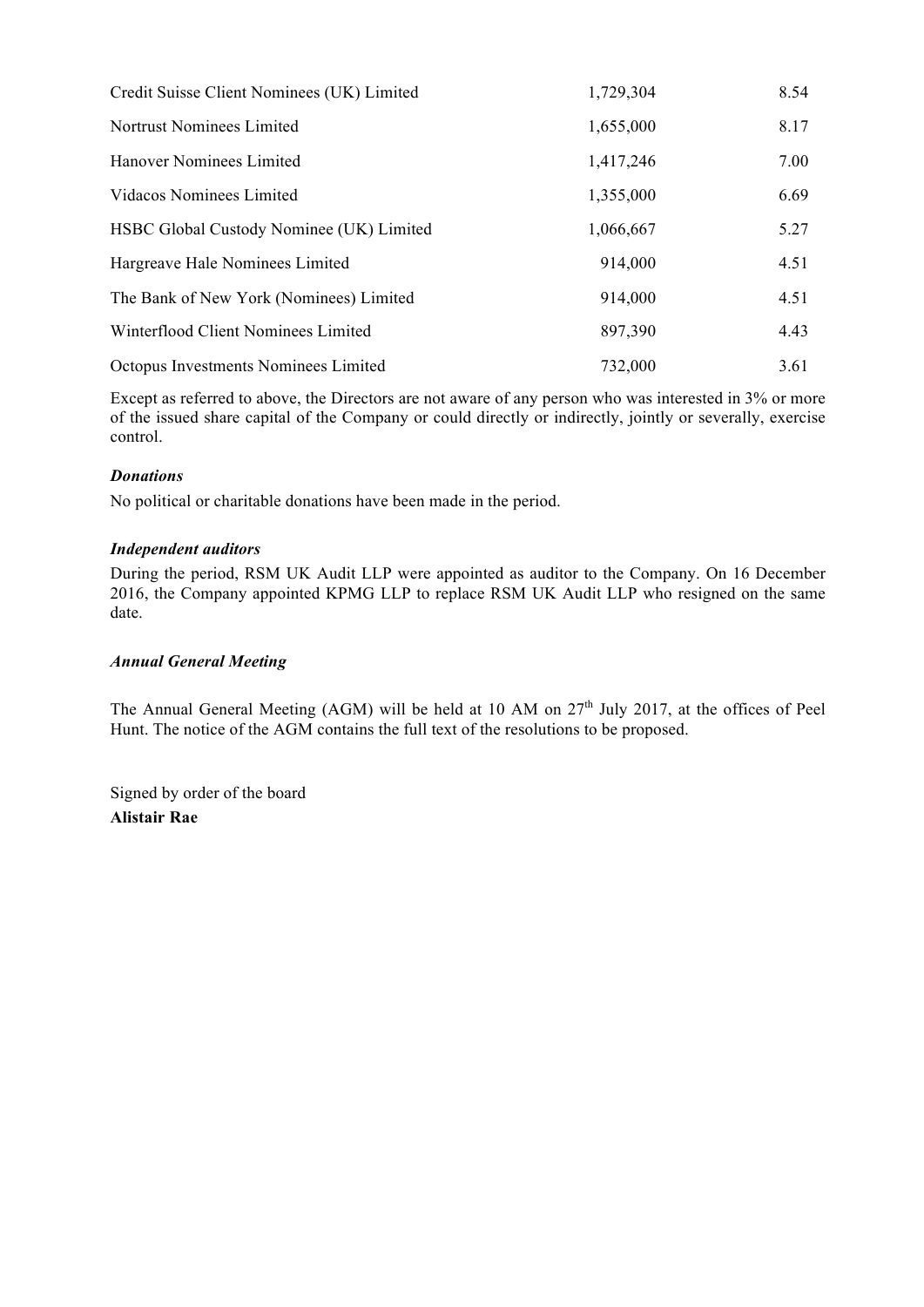| Credit Suisse Client Nominees (UK) Limited | 1,729,304 | 8.54 |
|--------------------------------------------|-----------|------|
| Nortrust Nominees Limited                  | 1,655,000 | 8.17 |
| Hanover Nominees Limited                   | 1,417,246 | 7.00 |
| Vidacos Nominees Limited                   | 1,355,000 | 6.69 |
| HSBC Global Custody Nominee (UK) Limited   | 1,066,667 | 5.27 |
| Hargreave Hale Nominees Limited            | 914,000   | 4.51 |
| The Bank of New York (Nominees) Limited    | 914,000   | 4.51 |
| Winterflood Client Nominees Limited        | 897,390   | 4.43 |
| Octopus Investments Nominees Limited       | 732,000   | 3.61 |

Except as referred to above, the Directors are not aware of any person who was interested in 3% or more of the issued share capital of the Company or could directly or indirectly, jointly or severally, exercise control.

# *Donations*

No political or charitable donations have been made in the period.

# *Independent auditors*

During the period, RSM UK Audit LLP were appointed as auditor to the Company. On 16 December 2016, the Company appointed KPMG LLP to replace RSM UK Audit LLP who resigned on the same date.

# *Annual General Meeting*

The Annual General Meeting (AGM) will be held at 10 AM on  $27<sup>th</sup>$  July 2017, at the offices of Peel Hunt. The notice of the AGM contains the full text of the resolutions to be proposed.

Signed by order of the board **Alistair Rae**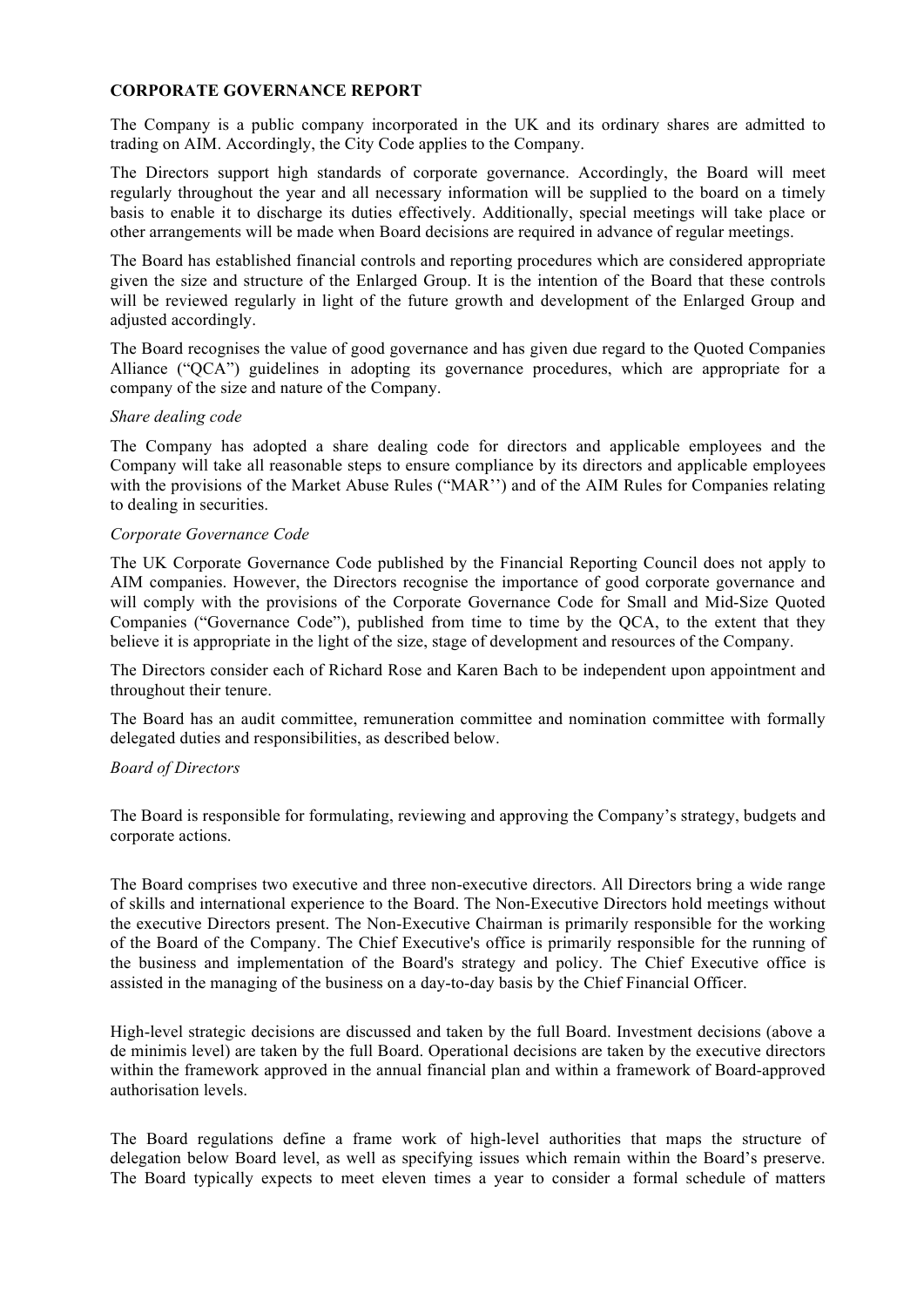#### **CORPORATE GOVERNANCE REPORT**

The Company is a public company incorporated in the UK and its ordinary shares are admitted to trading on AIM. Accordingly, the City Code applies to the Company.

The Directors support high standards of corporate governance. Accordingly, the Board will meet regularly throughout the year and all necessary information will be supplied to the board on a timely basis to enable it to discharge its duties effectively. Additionally, special meetings will take place or other arrangements will be made when Board decisions are required in advance of regular meetings.

The Board has established financial controls and reporting procedures which are considered appropriate given the size and structure of the Enlarged Group. It is the intention of the Board that these controls will be reviewed regularly in light of the future growth and development of the Enlarged Group and adjusted accordingly.

The Board recognises the value of good governance and has given due regard to the Quoted Companies Alliance ("QCA") guidelines in adopting its governance procedures, which are appropriate for a company of the size and nature of the Company.

#### *Share dealing code*

The Company has adopted a share dealing code for directors and applicable employees and the Company will take all reasonable steps to ensure compliance by its directors and applicable employees with the provisions of the Market Abuse Rules ("MAR") and of the AIM Rules for Companies relating to dealing in securities.

#### *Corporate Governance Code*

The UK Corporate Governance Code published by the Financial Reporting Council does not apply to AIM companies. However, the Directors recognise the importance of good corporate governance and will comply with the provisions of the Corporate Governance Code for Small and Mid-Size Quoted Companies ("Governance Code"), published from time to time by the QCA, to the extent that they believe it is appropriate in the light of the size, stage of development and resources of the Company.

The Directors consider each of Richard Rose and Karen Bach to be independent upon appointment and throughout their tenure.

The Board has an audit committee, remuneration committee and nomination committee with formally delegated duties and responsibilities, as described below.

## *Board of Directors*

The Board is responsible for formulating, reviewing and approving the Company's strategy, budgets and corporate actions.

The Board comprises two executive and three non-executive directors. All Directors bring a wide range of skills and international experience to the Board. The Non-Executive Directors hold meetings without the executive Directors present. The Non-Executive Chairman is primarily responsible for the working of the Board of the Company. The Chief Executive's office is primarily responsible for the running of the business and implementation of the Board's strategy and policy. The Chief Executive office is assisted in the managing of the business on a day-to-day basis by the Chief Financial Officer.

High-level strategic decisions are discussed and taken by the full Board. Investment decisions (above a de minimis level) are taken by the full Board. Operational decisions are taken by the executive directors within the framework approved in the annual financial plan and within a framework of Board-approved authorisation levels.

The Board regulations define a frame work of high-level authorities that maps the structure of delegation below Board level, as well as specifying issues which remain within the Board's preserve. The Board typically expects to meet eleven times a year to consider a formal schedule of matters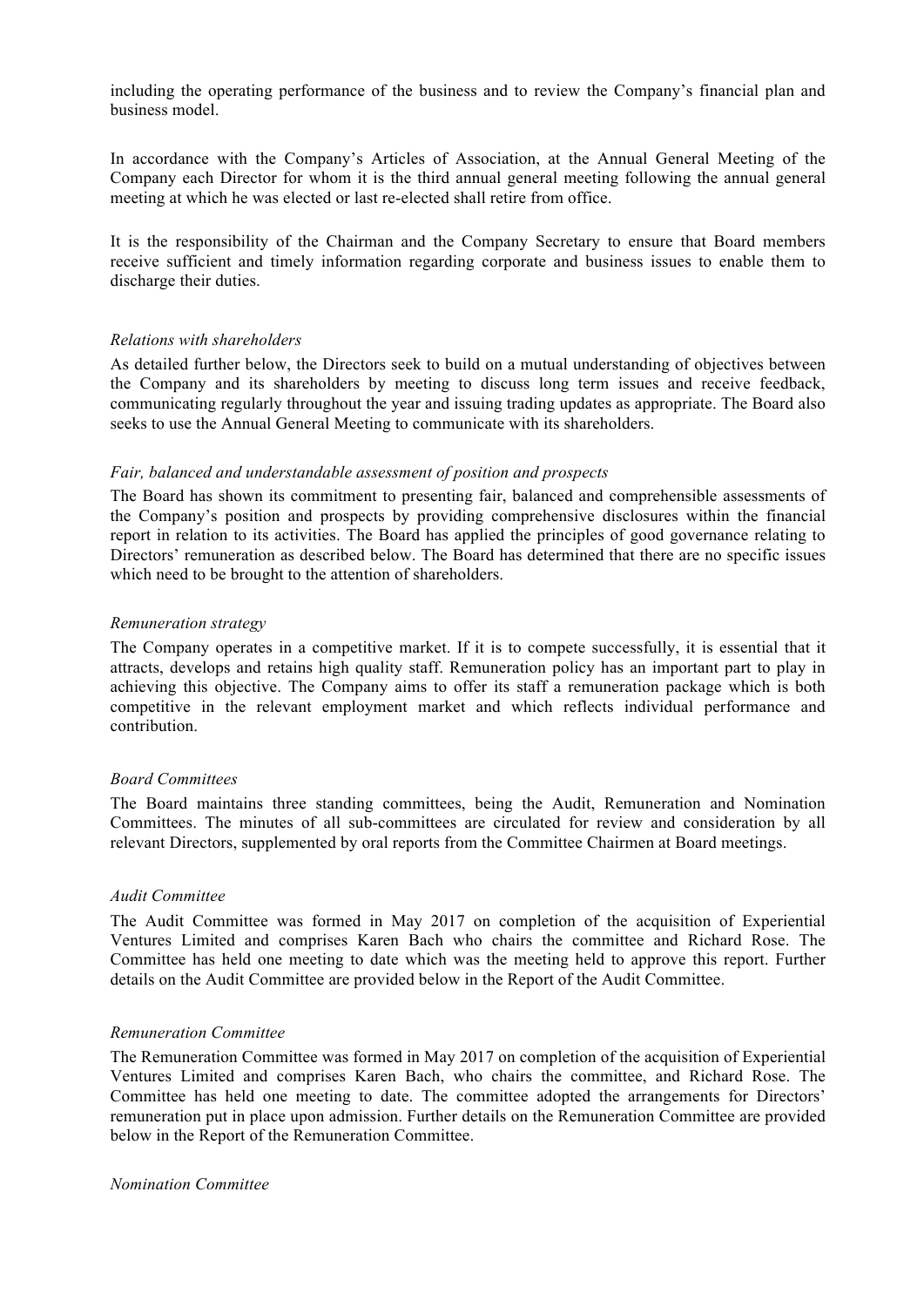including the operating performance of the business and to review the Company's financial plan and business model.

In accordance with the Company's Articles of Association, at the Annual General Meeting of the Company each Director for whom it is the third annual general meeting following the annual general meeting at which he was elected or last re-elected shall retire from office.

It is the responsibility of the Chairman and the Company Secretary to ensure that Board members receive sufficient and timely information regarding corporate and business issues to enable them to discharge their duties.

#### *Relations with shareholders*

As detailed further below, the Directors seek to build on a mutual understanding of objectives between the Company and its shareholders by meeting to discuss long term issues and receive feedback, communicating regularly throughout the year and issuing trading updates as appropriate. The Board also seeks to use the Annual General Meeting to communicate with its shareholders.

#### *Fair, balanced and understandable assessment of position and prospects*

The Board has shown its commitment to presenting fair, balanced and comprehensible assessments of the Company's position and prospects by providing comprehensive disclosures within the financial report in relation to its activities. The Board has applied the principles of good governance relating to Directors' remuneration as described below. The Board has determined that there are no specific issues which need to be brought to the attention of shareholders.

#### *Remuneration strategy*

The Company operates in a competitive market. If it is to compete successfully, it is essential that it attracts, develops and retains high quality staff. Remuneration policy has an important part to play in achieving this objective. The Company aims to offer its staff a remuneration package which is both competitive in the relevant employment market and which reflects individual performance and contribution.

## *Board Committees*

The Board maintains three standing committees, being the Audit, Remuneration and Nomination Committees. The minutes of all sub-committees are circulated for review and consideration by all relevant Directors, supplemented by oral reports from the Committee Chairmen at Board meetings.

#### *Audit Committee*

The Audit Committee was formed in May 2017 on completion of the acquisition of Experiential Ventures Limited and comprises Karen Bach who chairs the committee and Richard Rose. The Committee has held one meeting to date which was the meeting held to approve this report. Further details on the Audit Committee are provided below in the Report of the Audit Committee.

#### *Remuneration Committee*

The Remuneration Committee was formed in May 2017 on completion of the acquisition of Experiential Ventures Limited and comprises Karen Bach, who chairs the committee, and Richard Rose. The Committee has held one meeting to date. The committee adopted the arrangements for Directors' remuneration put in place upon admission. Further details on the Remuneration Committee are provided below in the Report of the Remuneration Committee.

#### *Nomination Committee*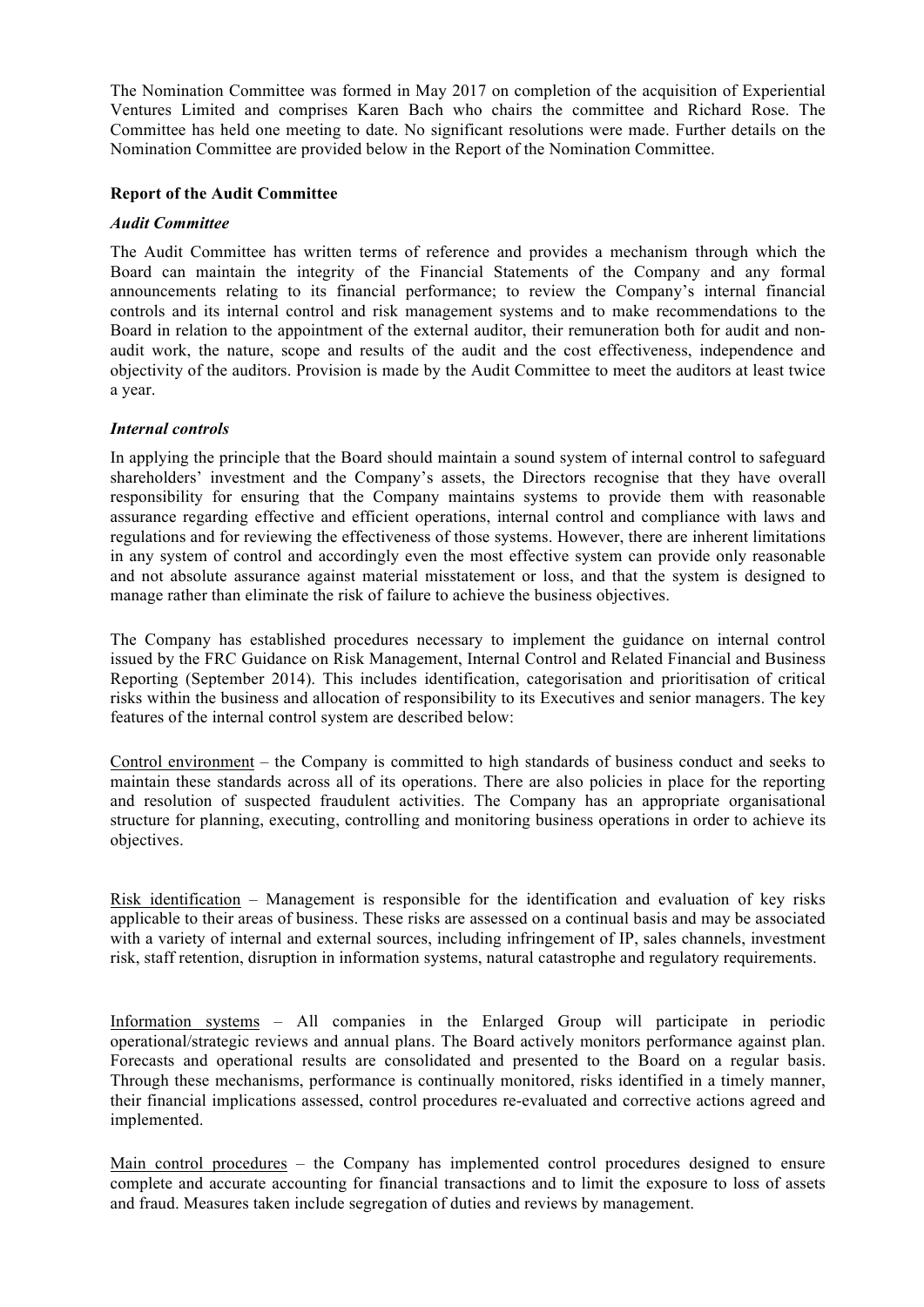The Nomination Committee was formed in May 2017 on completion of the acquisition of Experiential Ventures Limited and comprises Karen Bach who chairs the committee and Richard Rose. The Committee has held one meeting to date. No significant resolutions were made. Further details on the Nomination Committee are provided below in the Report of the Nomination Committee.

## **Report of the Audit Committee**

## *Audit Committee*

The Audit Committee has written terms of reference and provides a mechanism through which the Board can maintain the integrity of the Financial Statements of the Company and any formal announcements relating to its financial performance; to review the Company's internal financial controls and its internal control and risk management systems and to make recommendations to the Board in relation to the appointment of the external auditor, their remuneration both for audit and nonaudit work, the nature, scope and results of the audit and the cost effectiveness, independence and objectivity of the auditors. Provision is made by the Audit Committee to meet the auditors at least twice a year.

## *Internal controls*

In applying the principle that the Board should maintain a sound system of internal control to safeguard shareholders' investment and the Company's assets, the Directors recognise that they have overall responsibility for ensuring that the Company maintains systems to provide them with reasonable assurance regarding effective and efficient operations, internal control and compliance with laws and regulations and for reviewing the effectiveness of those systems. However, there are inherent limitations in any system of control and accordingly even the most effective system can provide only reasonable and not absolute assurance against material misstatement or loss, and that the system is designed to manage rather than eliminate the risk of failure to achieve the business objectives.

The Company has established procedures necessary to implement the guidance on internal control issued by the FRC Guidance on Risk Management, Internal Control and Related Financial and Business Reporting (September 2014). This includes identification, categorisation and prioritisation of critical risks within the business and allocation of responsibility to its Executives and senior managers. The key features of the internal control system are described below:

Control environment – the Company is committed to high standards of business conduct and seeks to maintain these standards across all of its operations. There are also policies in place for the reporting and resolution of suspected fraudulent activities. The Company has an appropriate organisational structure for planning, executing, controlling and monitoring business operations in order to achieve its objectives.

Risk identification – Management is responsible for the identification and evaluation of key risks applicable to their areas of business. These risks are assessed on a continual basis and may be associated with a variety of internal and external sources, including infringement of IP, sales channels, investment risk, staff retention, disruption in information systems, natural catastrophe and regulatory requirements.

Information systems – All companies in the Enlarged Group will participate in periodic operational/strategic reviews and annual plans. The Board actively monitors performance against plan. Forecasts and operational results are consolidated and presented to the Board on a regular basis. Through these mechanisms, performance is continually monitored, risks identified in a timely manner, their financial implications assessed, control procedures re-evaluated and corrective actions agreed and implemented.

Main control procedures – the Company has implemented control procedures designed to ensure complete and accurate accounting for financial transactions and to limit the exposure to loss of assets and fraud. Measures taken include segregation of duties and reviews by management.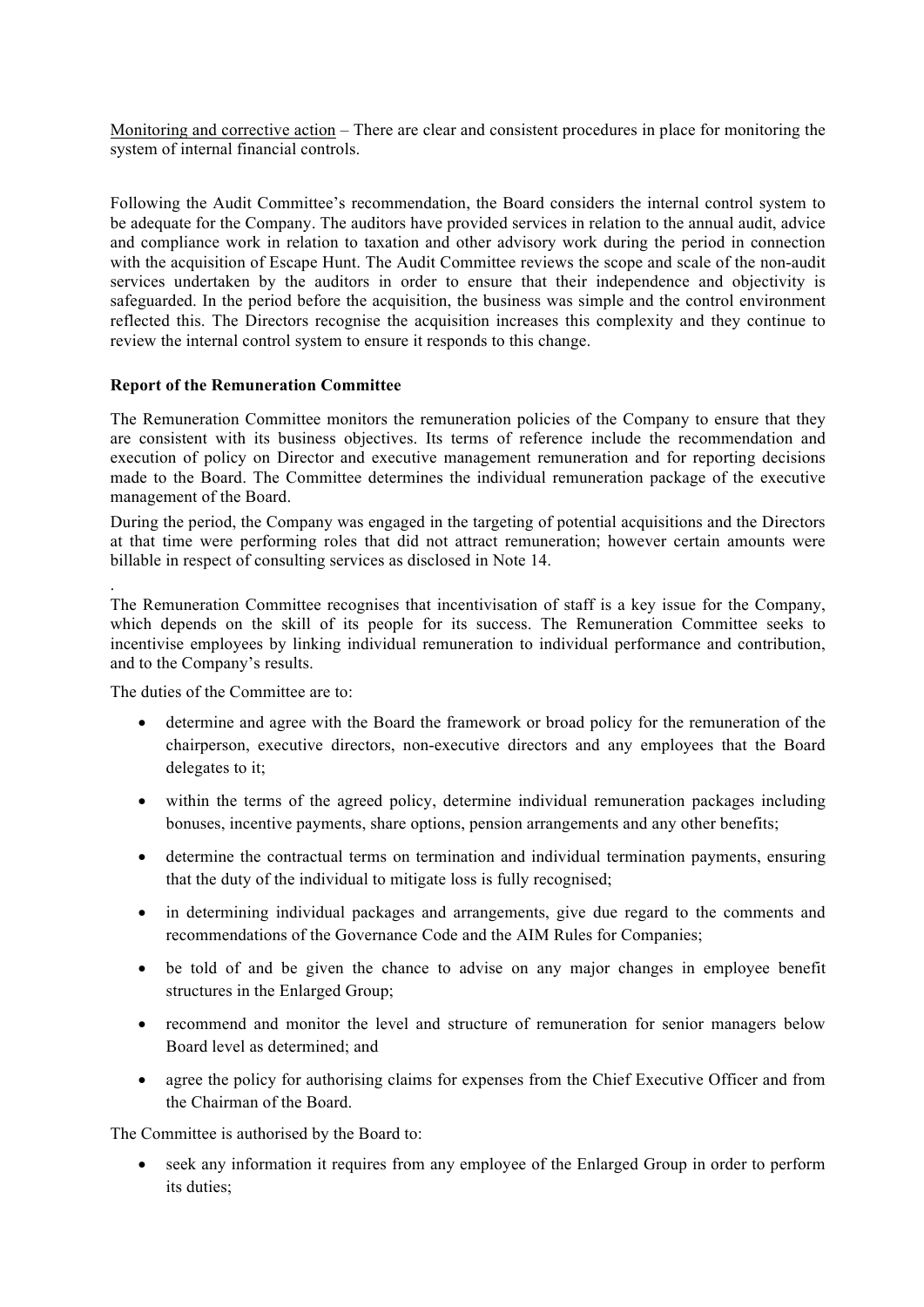Monitoring and corrective action – There are clear and consistent procedures in place for monitoring the system of internal financial controls.

Following the Audit Committee's recommendation, the Board considers the internal control system to be adequate for the Company. The auditors have provided services in relation to the annual audit, advice and compliance work in relation to taxation and other advisory work during the period in connection with the acquisition of Escape Hunt. The Audit Committee reviews the scope and scale of the non-audit services undertaken by the auditors in order to ensure that their independence and objectivity is safeguarded. In the period before the acquisition, the business was simple and the control environment reflected this. The Directors recognise the acquisition increases this complexity and they continue to review the internal control system to ensure it responds to this change.

# **Report of the Remuneration Committee**

The Remuneration Committee monitors the remuneration policies of the Company to ensure that they are consistent with its business objectives. Its terms of reference include the recommendation and execution of policy on Director and executive management remuneration and for reporting decisions made to the Board. The Committee determines the individual remuneration package of the executive management of the Board.

During the period, the Company was engaged in the targeting of potential acquisitions and the Directors at that time were performing roles that did not attract remuneration; however certain amounts were billable in respect of consulting services as disclosed in Note 14.

The Remuneration Committee recognises that incentivisation of staff is a key issue for the Company, which depends on the skill of its people for its success. The Remuneration Committee seeks to incentivise employees by linking individual remuneration to individual performance and contribution, and to the Company's results.

The duties of the Committee are to:

.

- determine and agree with the Board the framework or broad policy for the remuneration of the chairperson, executive directors, non-executive directors and any employees that the Board delegates to it;
- within the terms of the agreed policy, determine individual remuneration packages including bonuses, incentive payments, share options, pension arrangements and any other benefits;
- determine the contractual terms on termination and individual termination payments, ensuring that the duty of the individual to mitigate loss is fully recognised;
- in determining individual packages and arrangements, give due regard to the comments and recommendations of the Governance Code and the AIM Rules for Companies;
- be told of and be given the chance to advise on any major changes in employee benefit structures in the Enlarged Group;
- recommend and monitor the level and structure of remuneration for senior managers below Board level as determined; and
- agree the policy for authorising claims for expenses from the Chief Executive Officer and from the Chairman of the Board.

The Committee is authorised by the Board to:

seek any information it requires from any employee of the Enlarged Group in order to perform its duties: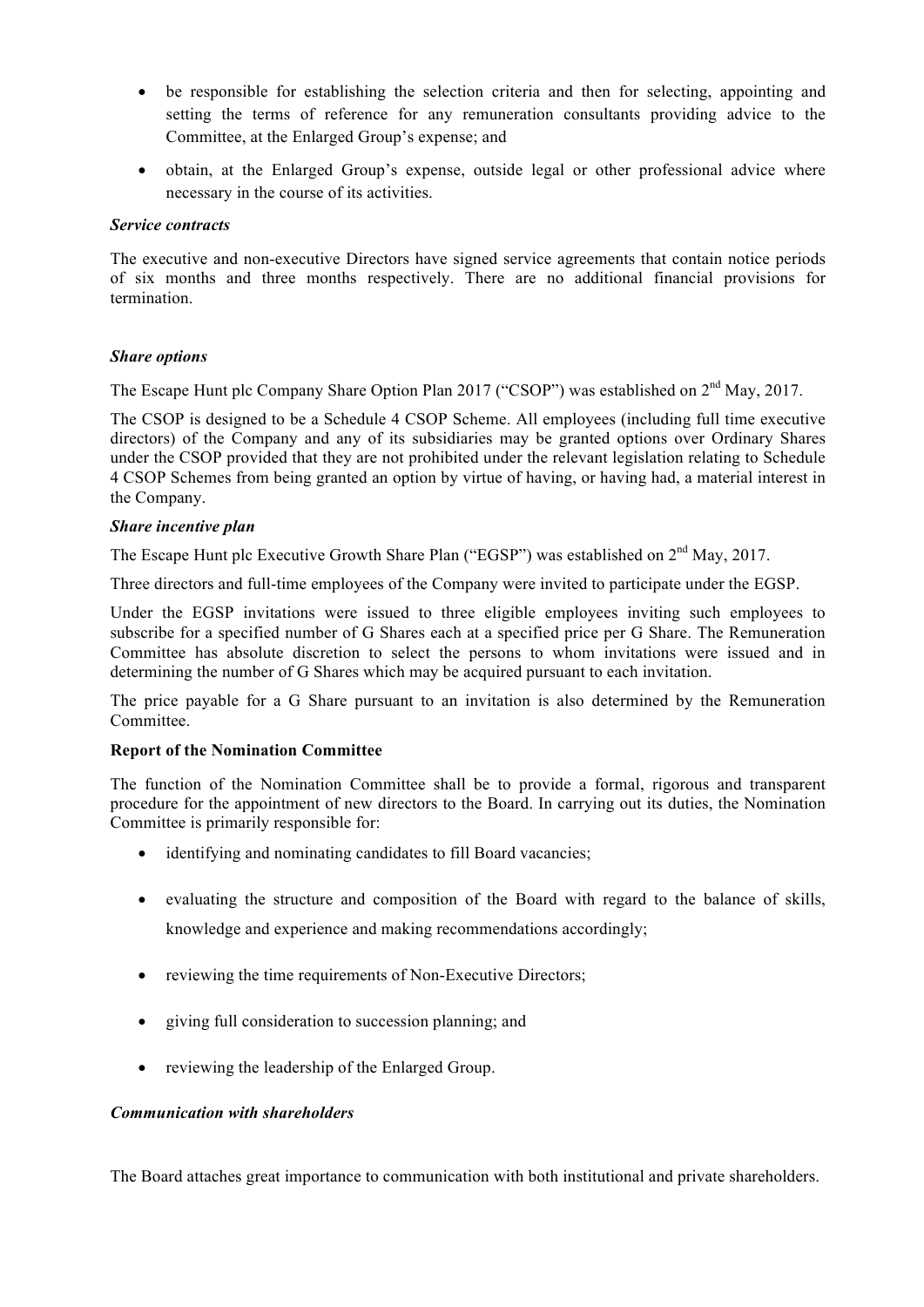- be responsible for establishing the selection criteria and then for selecting, appointing and setting the terms of reference for any remuneration consultants providing advice to the Committee, at the Enlarged Group's expense; and
- obtain, at the Enlarged Group's expense, outside legal or other professional advice where necessary in the course of its activities.

#### *Service contracts*

The executive and non-executive Directors have signed service agreements that contain notice periods of six months and three months respectively. There are no additional financial provisions for termination.

## *Share options*

The Escape Hunt plc Company Share Option Plan 2017 ("CSOP") was established on  $2<sup>nd</sup>$  May, 2017.

The CSOP is designed to be a Schedule 4 CSOP Scheme. All employees (including full time executive directors) of the Company and any of its subsidiaries may be granted options over Ordinary Shares under the CSOP provided that they are not prohibited under the relevant legislation relating to Schedule 4 CSOP Schemes from being granted an option by virtue of having, or having had, a material interest in the Company.

## *Share incentive plan*

The Escape Hunt plc Executive Growth Share Plan ("EGSP") was established on  $2<sup>nd</sup>$  Mav. 2017.

Three directors and full-time employees of the Company were invited to participate under the EGSP.

Under the EGSP invitations were issued to three eligible employees inviting such employees to subscribe for a specified number of G Shares each at a specified price per G Share. The Remuneration Committee has absolute discretion to select the persons to whom invitations were issued and in determining the number of G Shares which may be acquired pursuant to each invitation.

The price payable for a G Share pursuant to an invitation is also determined by the Remuneration Committee.

## **Report of the Nomination Committee**

The function of the Nomination Committee shall be to provide a formal, rigorous and transparent procedure for the appointment of new directors to the Board. In carrying out its duties, the Nomination Committee is primarily responsible for:

- identifying and nominating candidates to fill Board vacancies;
- evaluating the structure and composition of the Board with regard to the balance of skills, knowledge and experience and making recommendations accordingly;
- reviewing the time requirements of Non-Executive Directors;
- giving full consideration to succession planning; and
- reviewing the leadership of the Enlarged Group.

## *Communication with shareholders*

The Board attaches great importance to communication with both institutional and private shareholders.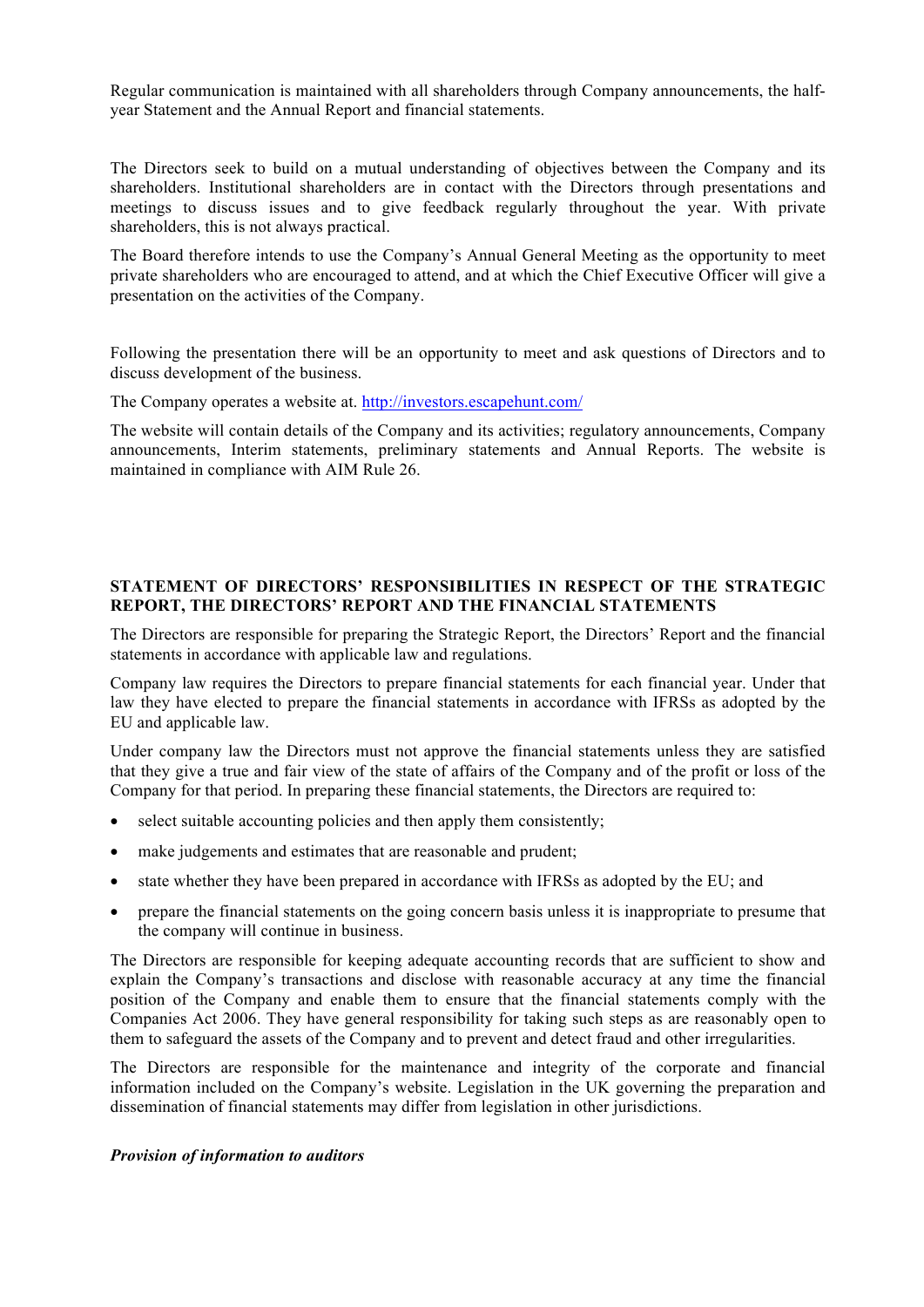Regular communication is maintained with all shareholders through Company announcements, the halfyear Statement and the Annual Report and financial statements.

The Directors seek to build on a mutual understanding of objectives between the Company and its shareholders. Institutional shareholders are in contact with the Directors through presentations and meetings to discuss issues and to give feedback regularly throughout the year. With private shareholders, this is not always practical.

The Board therefore intends to use the Company's Annual General Meeting as the opportunity to meet private shareholders who are encouraged to attend, and at which the Chief Executive Officer will give a presentation on the activities of the Company.

Following the presentation there will be an opportunity to meet and ask questions of Directors and to discuss development of the business.

The Company operates a website at. http://investors.escapehunt.com/

The website will contain details of the Company and its activities; regulatory announcements, Company announcements, Interim statements, preliminary statements and Annual Reports. The website is maintained in compliance with AIM Rule 26.

## **STATEMENT OF DIRECTORS' RESPONSIBILITIES IN RESPECT OF THE STRATEGIC REPORT, THE DIRECTORS' REPORT AND THE FINANCIAL STATEMENTS**

The Directors are responsible for preparing the Strategic Report, the Directors' Report and the financial statements in accordance with applicable law and regulations.

Company law requires the Directors to prepare financial statements for each financial year. Under that law they have elected to prepare the financial statements in accordance with IFRSs as adopted by the EU and applicable law.

Under company law the Directors must not approve the financial statements unless they are satisfied that they give a true and fair view of the state of affairs of the Company and of the profit or loss of the Company for that period. In preparing these financial statements, the Directors are required to:

- select suitable accounting policies and then apply them consistently;
- make judgements and estimates that are reasonable and prudent;
- state whether they have been prepared in accordance with IFRSs as adopted by the EU; and
- prepare the financial statements on the going concern basis unless it is inappropriate to presume that the company will continue in business.

The Directors are responsible for keeping adequate accounting records that are sufficient to show and explain the Company's transactions and disclose with reasonable accuracy at any time the financial position of the Company and enable them to ensure that the financial statements comply with the Companies Act 2006. They have general responsibility for taking such steps as are reasonably open to them to safeguard the assets of the Company and to prevent and detect fraud and other irregularities.

The Directors are responsible for the maintenance and integrity of the corporate and financial information included on the Company's website. Legislation in the UK governing the preparation and dissemination of financial statements may differ from legislation in other jurisdictions.

#### *Provision of information to auditors*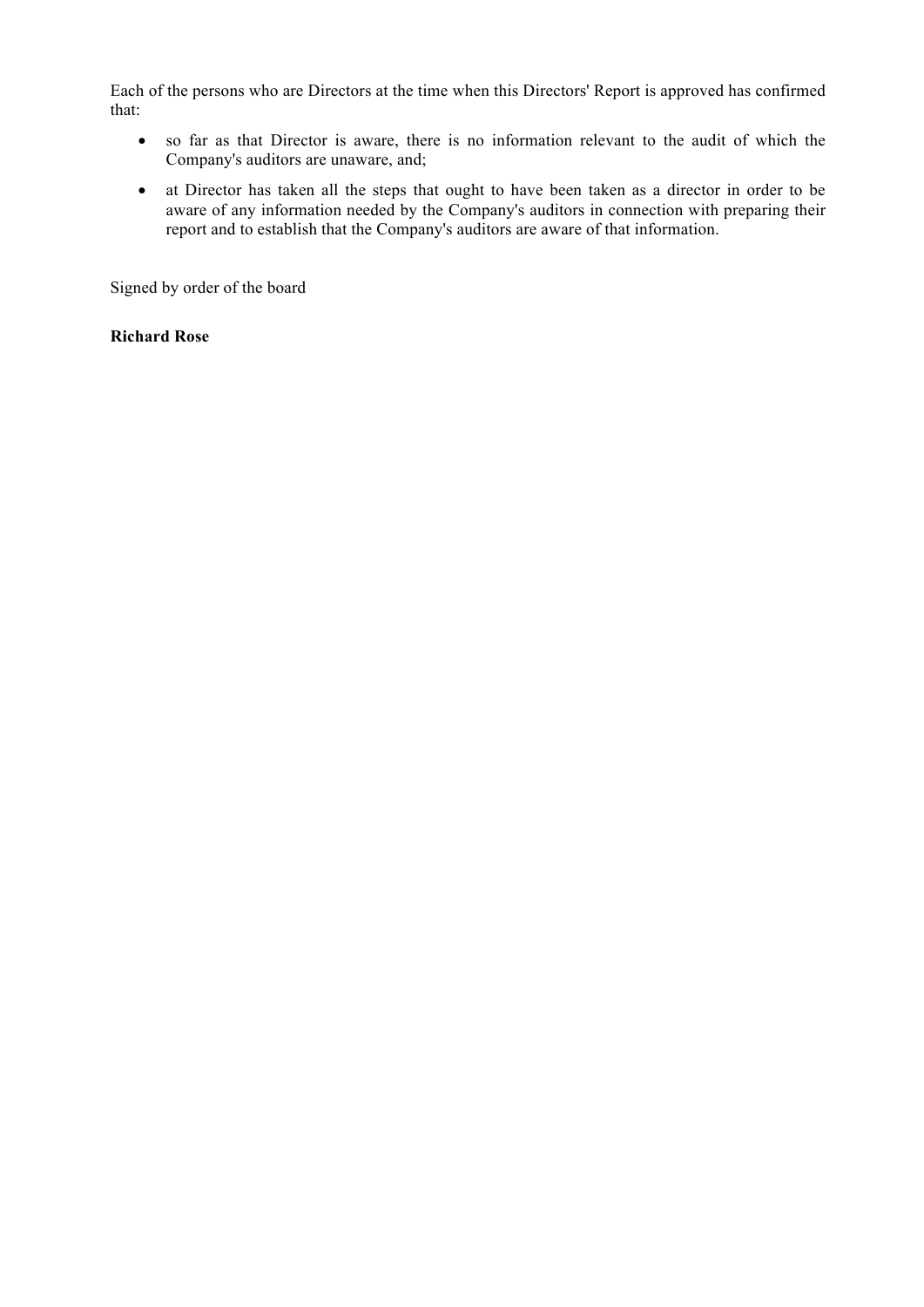Each of the persons who are Directors at the time when this Directors' Report is approved has confirmed that:

- so far as that Director is aware, there is no information relevant to the audit of which the Company's auditors are unaware, and;
- at Director has taken all the steps that ought to have been taken as a director in order to be aware of any information needed by the Company's auditors in connection with preparing their report and to establish that the Company's auditors are aware of that information.

Signed by order of the board

# **Richard Rose**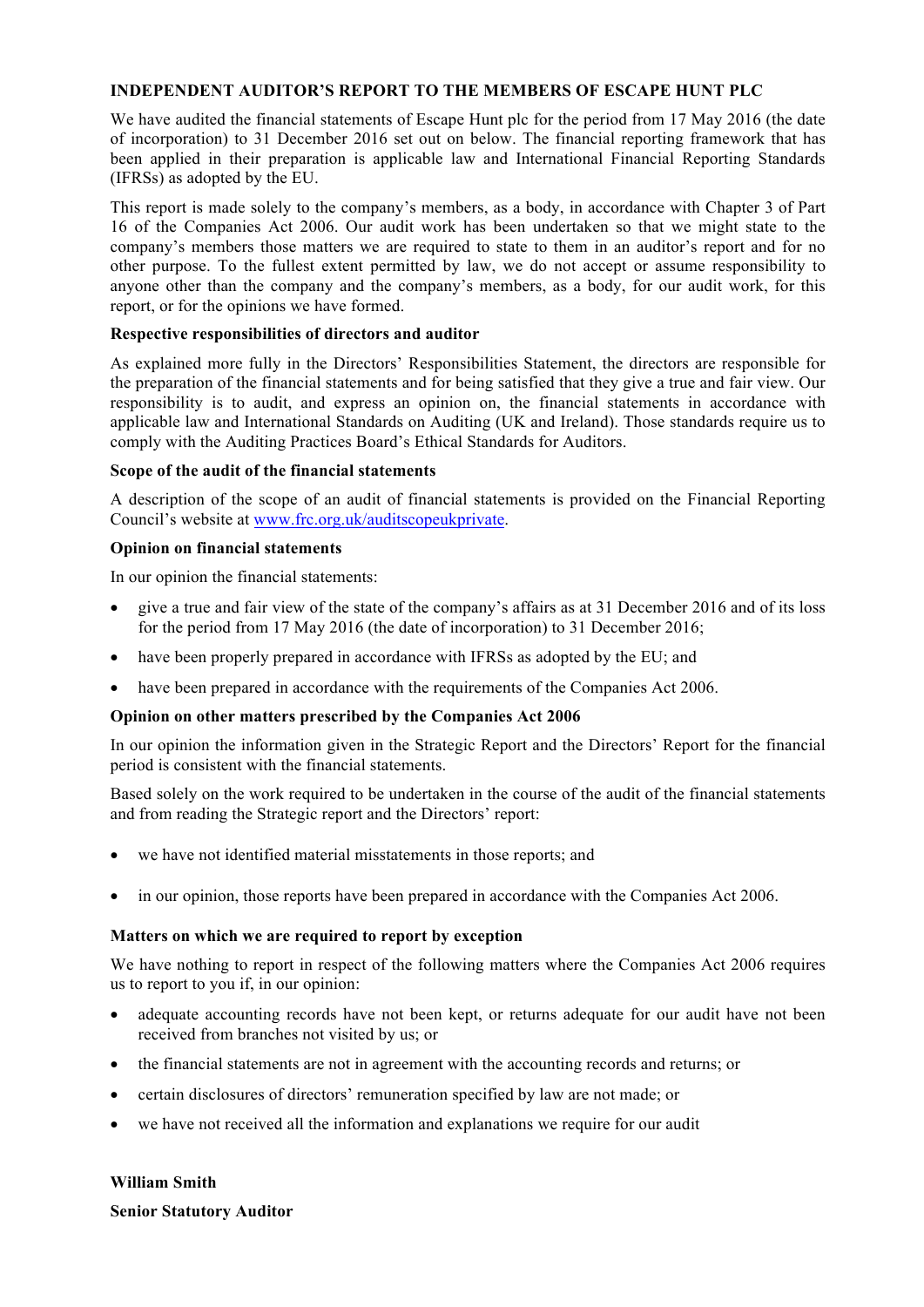# **INDEPENDENT AUDITOR'S REPORT TO THE MEMBERS OF ESCAPE HUNT PLC**

We have audited the financial statements of Escape Hunt plc for the period from 17 May 2016 (the date of incorporation) to 31 December 2016 set out on below. The financial reporting framework that has been applied in their preparation is applicable law and International Financial Reporting Standards (IFRSs) as adopted by the EU.

This report is made solely to the company's members, as a body, in accordance with Chapter 3 of Part 16 of the Companies Act 2006. Our audit work has been undertaken so that we might state to the company's members those matters we are required to state to them in an auditor's report and for no other purpose. To the fullest extent permitted by law, we do not accept or assume responsibility to anyone other than the company and the company's members, as a body, for our audit work, for this report, or for the opinions we have formed.

# **Respective responsibilities of directors and auditor**

As explained more fully in the Directors' Responsibilities Statement, the directors are responsible for the preparation of the financial statements and for being satisfied that they give a true and fair view. Our responsibility is to audit, and express an opinion on, the financial statements in accordance with applicable law and International Standards on Auditing (UK and Ireland). Those standards require us to comply with the Auditing Practices Board's Ethical Standards for Auditors.

## **Scope of the audit of the financial statements**

A description of the scope of an audit of financial statements is provided on the Financial Reporting Council's website at www.frc.org.uk/auditscopeukprivate.

# **Opinion on financial statements**

In our opinion the financial statements:

- give a true and fair view of the state of the company's affairs as at 31 December 2016 and of its loss for the period from 17 May 2016 (the date of incorporation) to 31 December 2016;
- have been properly prepared in accordance with IFRSs as adopted by the EU; and
- have been prepared in accordance with the requirements of the Companies Act 2006.

# **Opinion on other matters prescribed by the Companies Act 2006**

In our opinion the information given in the Strategic Report and the Directors' Report for the financial period is consistent with the financial statements.

Based solely on the work required to be undertaken in the course of the audit of the financial statements and from reading the Strategic report and the Directors' report:

- we have not identified material misstatements in those reports; and
- in our opinion, those reports have been prepared in accordance with the Companies Act 2006.

## **Matters on which we are required to report by exception**

We have nothing to report in respect of the following matters where the Companies Act 2006 requires us to report to you if, in our opinion:

- adequate accounting records have not been kept, or returns adequate for our audit have not been received from branches not visited by us; or
- the financial statements are not in agreement with the accounting records and returns; or
- certain disclosures of directors' remuneration specified by law are not made; or
- we have not received all the information and explanations we require for our audit

# **William Smith**

**Senior Statutory Auditor**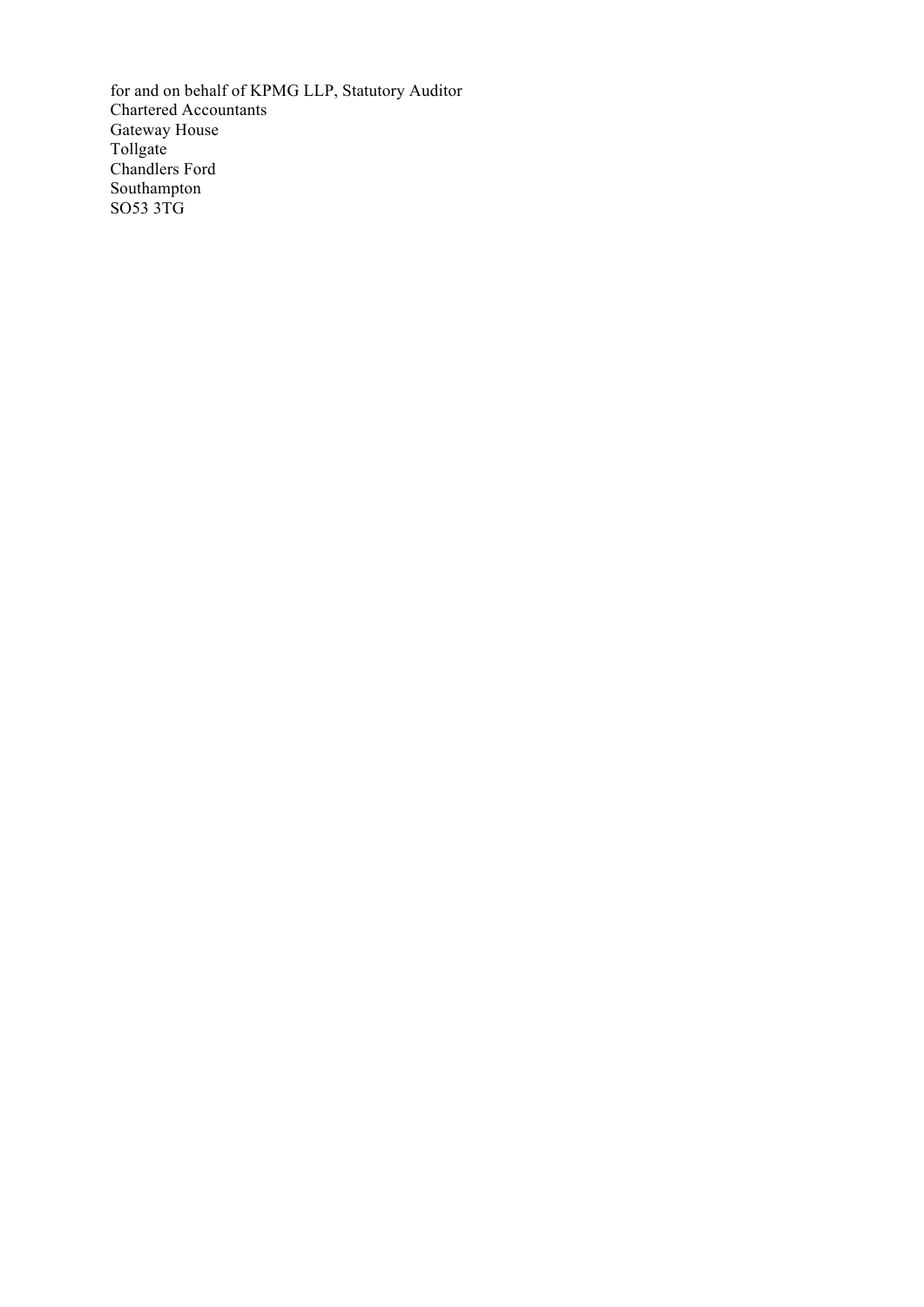for and on behalf of KPMG LLP, Statutory Auditor Chartered Accountants Gateway House Tollgate Chandlers Ford Southampton SO53 3TG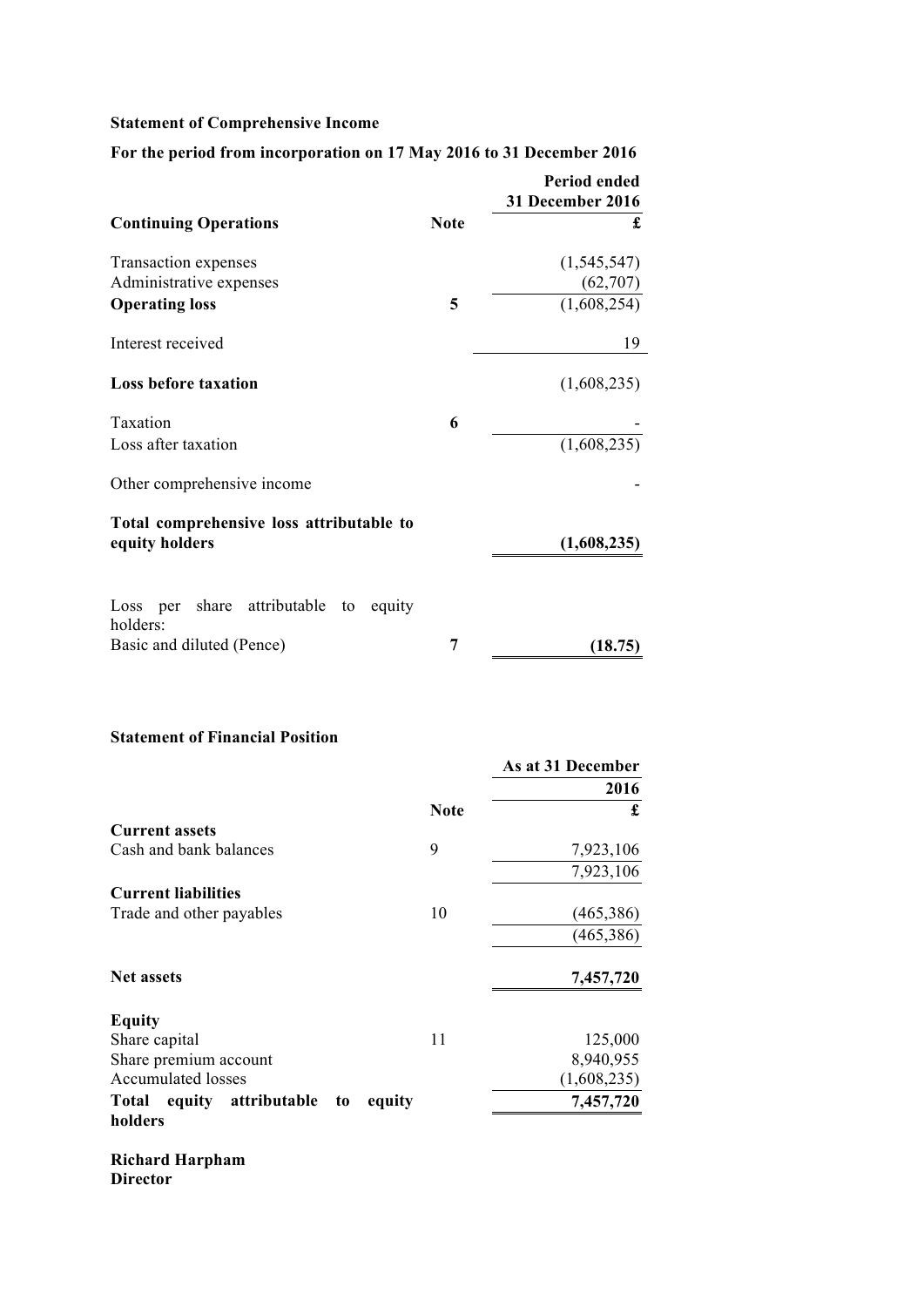# **Statement of Comprehensive Income**

# **For the period from incorporation on 17 May 2016 to 31 December 2016**

|                                                                                            |             | Period ended<br><b>31 December 2016</b>   |
|--------------------------------------------------------------------------------------------|-------------|-------------------------------------------|
| <b>Continuing Operations</b>                                                               | <b>Note</b> | £                                         |
| Transaction expenses<br>Administrative expenses<br><b>Operating loss</b>                   | 5           | (1, 545, 547)<br>(62, 707)<br>(1,608,254) |
| Interest received                                                                          |             | 19                                        |
| <b>Loss before taxation</b>                                                                |             | (1,608,235)                               |
| Taxation<br>Loss after taxation                                                            | 6           | (1,608,235)                               |
| Other comprehensive income                                                                 |             |                                           |
| Total comprehensive loss attributable to<br>equity holders                                 |             | (1,608,235)                               |
| share attributable<br>Loss<br>per<br>equity<br>to<br>holders:<br>Basic and diluted (Pence) | 7           | (18.75)                                   |
| <b>Statement of Financial Position</b>                                                     |             | As at 31 December<br>2016                 |

| <b>Note</b> | £           |
|-------------|-------------|
|             |             |
| 9           | 7,923,106   |
|             | 7,923,106   |
|             |             |
| 10          | (465, 386)  |
|             | (465, 386)  |
|             | 7,457,720   |
|             |             |
| 11          | 125,000     |
|             | 8,940,955   |
|             | (1,608,235) |
|             | 7,457,720   |
|             |             |
|             | equity      |

**Richard Harpham Director**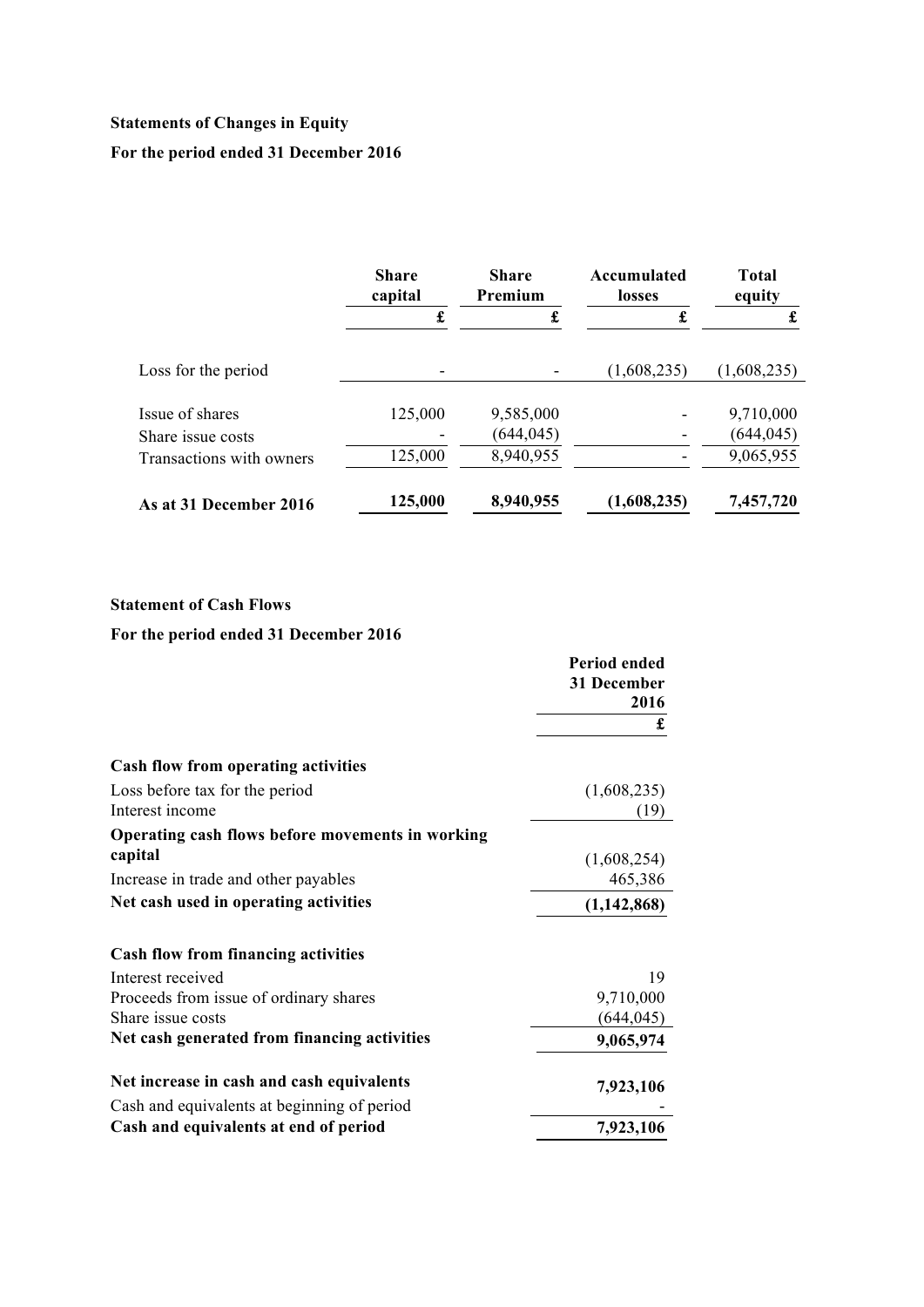# **Statements of Changes in Equity**

# **For the period ended 31 December 2016**

|                          | <b>Share</b><br>capital | <b>Share</b><br>Premium | Accumulated<br>losses | <b>Total</b><br>equity |
|--------------------------|-------------------------|-------------------------|-----------------------|------------------------|
|                          | £                       | £                       | £                     | £                      |
| Loss for the period      |                         |                         | (1,608,235)           | (1,608,235)            |
| Issue of shares          | 125,000                 | 9,585,000               |                       | 9,710,000              |
| Share issue costs        |                         | (644, 045)              |                       | (644, 045)             |
| Transactions with owners | 125,000                 | 8,940,955               |                       | 9,065,955              |
| As at 31 December 2016   | 125,000                 | 8,940,955               | (1,608,235)           | 7,457,720              |

# **Statement of Cash Flows**

# **For the period ended 31 December 2016**

|                                                             | Period ended<br>31 December<br>2016 |
|-------------------------------------------------------------|-------------------------------------|
|                                                             | £                                   |
| Cash flow from operating activities                         |                                     |
| Loss before tax for the period<br>Interest income           | (1,608,235)<br>(19)                 |
| Operating cash flows before movements in working<br>capital | (1,608,254)                         |
| Increase in trade and other payables                        | 465,386                             |
| Net cash used in operating activities                       | (1, 142, 868)                       |
| <b>Cash flow from financing activities</b>                  |                                     |
| Interest received                                           | 19                                  |
| Proceeds from issue of ordinary shares                      | 9,710,000                           |
| Share issue costs                                           | (644, 045)                          |
| Net cash generated from financing activities                | 9,065,974                           |
| Net increase in cash and cash equivalents                   | 7,923,106                           |
| Cash and equivalents at beginning of period                 |                                     |
| Cash and equivalents at end of period                       | 7,923,106                           |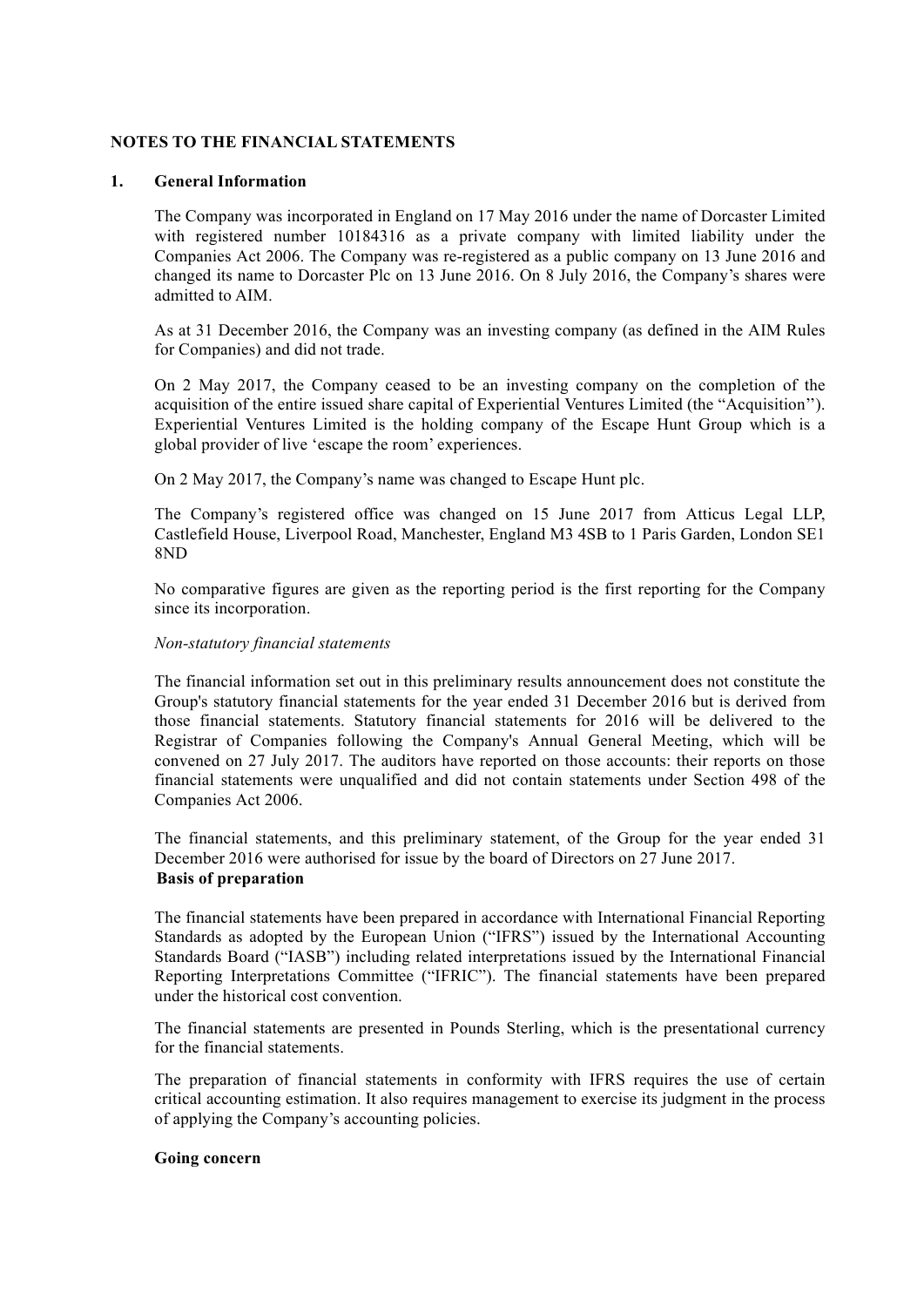## **NOTES TO THE FINANCIAL STATEMENTS**

#### **1. General Information**

The Company was incorporated in England on 17 May 2016 under the name of Dorcaster Limited with registered number 10184316 as a private company with limited liability under the Companies Act 2006. The Company was re-registered as a public company on 13 June 2016 and changed its name to Dorcaster Plc on 13 June 2016. On 8 July 2016, the Company's shares were admitted to AIM.

As at 31 December 2016, the Company was an investing company (as defined in the AIM Rules for Companies) and did not trade.

On 2 May 2017, the Company ceased to be an investing company on the completion of the acquisition of the entire issued share capital of Experiential Ventures Limited (the "Acquisition''). Experiential Ventures Limited is the holding company of the Escape Hunt Group which is a global provider of live 'escape the room' experiences.

On 2 May 2017, the Company's name was changed to Escape Hunt plc.

The Company's registered office was changed on 15 June 2017 from Atticus Legal LLP, Castlefield House, Liverpool Road, Manchester, England M3 4SB to 1 Paris Garden, London SE1 8ND

No comparative figures are given as the reporting period is the first reporting for the Company since its incorporation.

#### *Non-statutory financial statements*

The financial information set out in this preliminary results announcement does not constitute the Group's statutory financial statements for the year ended 31 December 2016 but is derived from those financial statements. Statutory financial statements for 2016 will be delivered to the Registrar of Companies following the Company's Annual General Meeting, which will be convened on 27 July 2017. The auditors have reported on those accounts: their reports on those financial statements were unqualified and did not contain statements under Section 498 of the Companies Act 2006.

The financial statements, and this preliminary statement, of the Group for the year ended 31 December 2016 were authorised for issue by the board of Directors on 27 June 2017.  **Basis of preparation**

The financial statements have been prepared in accordance with International Financial Reporting Standards as adopted by the European Union ("IFRS") issued by the International Accounting Standards Board ("IASB") including related interpretations issued by the International Financial Reporting Interpretations Committee ("IFRIC"). The financial statements have been prepared under the historical cost convention.

The financial statements are presented in Pounds Sterling, which is the presentational currency for the financial statements.

The preparation of financial statements in conformity with IFRS requires the use of certain critical accounting estimation. It also requires management to exercise its judgment in the process of applying the Company's accounting policies.

#### **Going concern**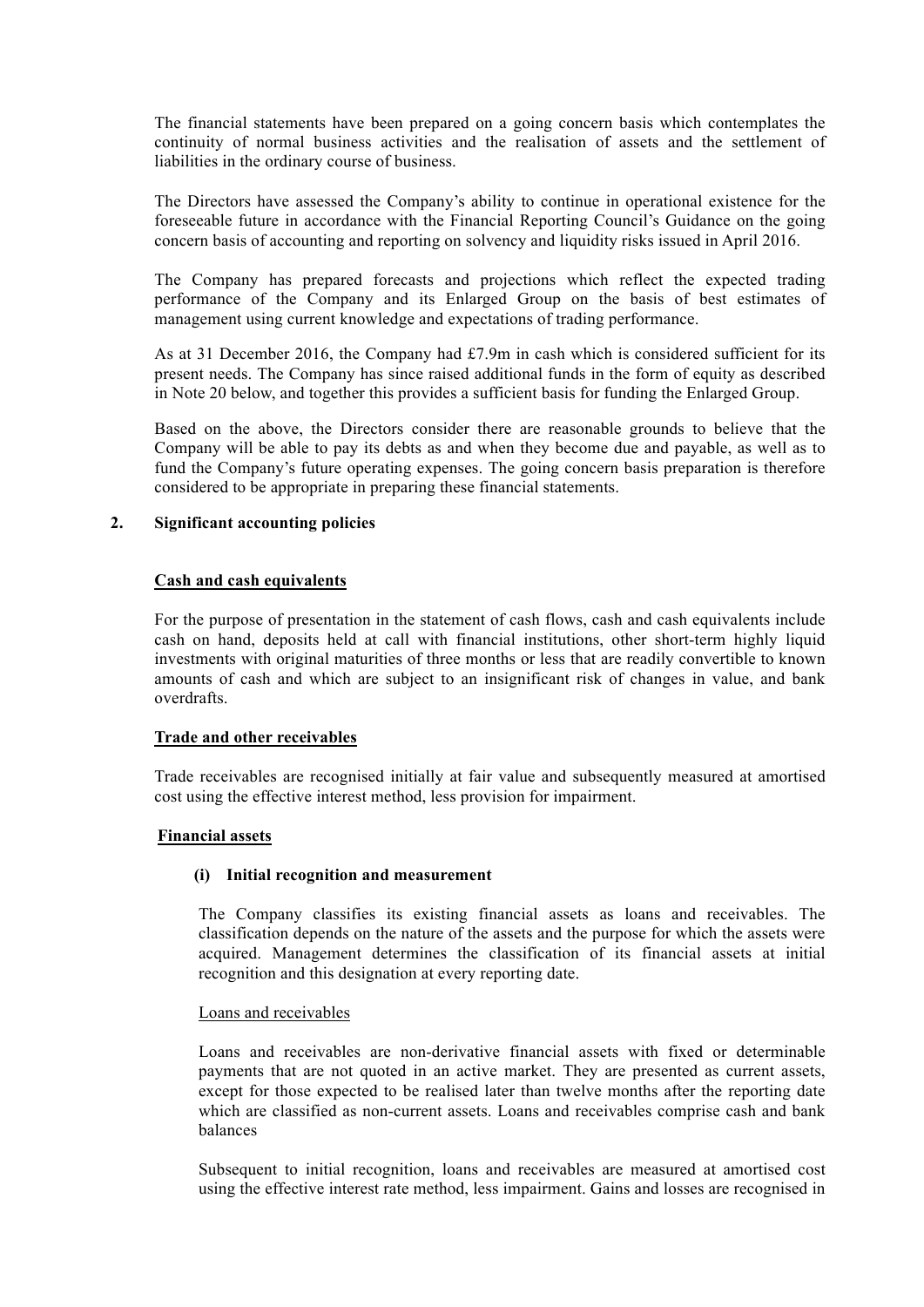The financial statements have been prepared on a going concern basis which contemplates the continuity of normal business activities and the realisation of assets and the settlement of liabilities in the ordinary course of business.

The Directors have assessed the Company's ability to continue in operational existence for the foreseeable future in accordance with the Financial Reporting Council's Guidance on the going concern basis of accounting and reporting on solvency and liquidity risks issued in April 2016.

The Company has prepared forecasts and projections which reflect the expected trading performance of the Company and its Enlarged Group on the basis of best estimates of management using current knowledge and expectations of trading performance.

As at 31 December 2016, the Company had £7.9m in cash which is considered sufficient for its present needs. The Company has since raised additional funds in the form of equity as described in Note 20 below, and together this provides a sufficient basis for funding the Enlarged Group.

Based on the above, the Directors consider there are reasonable grounds to believe that the Company will be able to pay its debts as and when they become due and payable, as well as to fund the Company's future operating expenses. The going concern basis preparation is therefore considered to be appropriate in preparing these financial statements.

## **2. Significant accounting policies**

#### **Cash and cash equivalents**

For the purpose of presentation in the statement of cash flows, cash and cash equivalents include cash on hand, deposits held at call with financial institutions, other short-term highly liquid investments with original maturities of three months or less that are readily convertible to known amounts of cash and which are subject to an insignificant risk of changes in value, and bank overdrafts.

#### **Trade and other receivables**

Trade receivables are recognised initially at fair value and subsequently measured at amortised cost using the effective interest method, less provision for impairment.

#### **Financial assets**

#### **(i) Initial recognition and measurement**

The Company classifies its existing financial assets as loans and receivables. The classification depends on the nature of the assets and the purpose for which the assets were acquired. Management determines the classification of its financial assets at initial recognition and this designation at every reporting date.

#### Loans and receivables

Loans and receivables are non-derivative financial assets with fixed or determinable payments that are not quoted in an active market. They are presented as current assets, except for those expected to be realised later than twelve months after the reporting date which are classified as non-current assets. Loans and receivables comprise cash and bank balances

Subsequent to initial recognition, loans and receivables are measured at amortised cost using the effective interest rate method, less impairment. Gains and losses are recognised in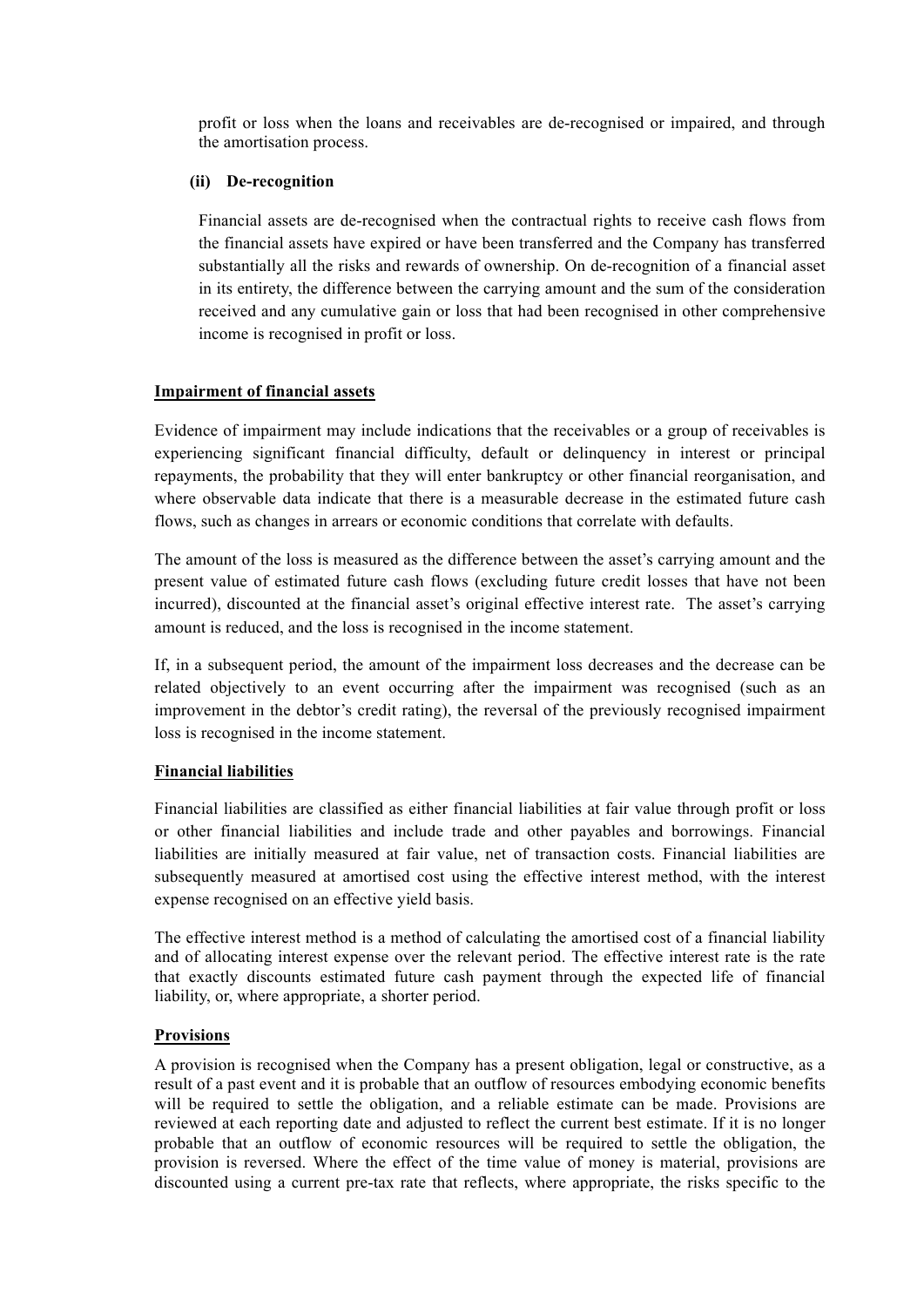profit or loss when the loans and receivables are de-recognised or impaired, and through the amortisation process.

## **(ii) De-recognition**

Financial assets are de-recognised when the contractual rights to receive cash flows from the financial assets have expired or have been transferred and the Company has transferred substantially all the risks and rewards of ownership. On de-recognition of a financial asset in its entirety, the difference between the carrying amount and the sum of the consideration received and any cumulative gain or loss that had been recognised in other comprehensive income is recognised in profit or loss.

# **Impairment of financial assets**

Evidence of impairment may include indications that the receivables or a group of receivables is experiencing significant financial difficulty, default or delinquency in interest or principal repayments, the probability that they will enter bankruptcy or other financial reorganisation, and where observable data indicate that there is a measurable decrease in the estimated future cash flows, such as changes in arrears or economic conditions that correlate with defaults.

The amount of the loss is measured as the difference between the asset's carrying amount and the present value of estimated future cash flows (excluding future credit losses that have not been incurred), discounted at the financial asset's original effective interest rate. The asset's carrying amount is reduced, and the loss is recognised in the income statement.

If, in a subsequent period, the amount of the impairment loss decreases and the decrease can be related objectively to an event occurring after the impairment was recognised (such as an improvement in the debtor's credit rating), the reversal of the previously recognised impairment loss is recognised in the income statement.

# **Financial liabilities**

Financial liabilities are classified as either financial liabilities at fair value through profit or loss or other financial liabilities and include trade and other payables and borrowings. Financial liabilities are initially measured at fair value, net of transaction costs. Financial liabilities are subsequently measured at amortised cost using the effective interest method, with the interest expense recognised on an effective yield basis.

The effective interest method is a method of calculating the amortised cost of a financial liability and of allocating interest expense over the relevant period. The effective interest rate is the rate that exactly discounts estimated future cash payment through the expected life of financial liability, or, where appropriate, a shorter period.

## **Provisions**

A provision is recognised when the Company has a present obligation, legal or constructive, as a result of a past event and it is probable that an outflow of resources embodying economic benefits will be required to settle the obligation, and a reliable estimate can be made. Provisions are reviewed at each reporting date and adjusted to reflect the current best estimate. If it is no longer probable that an outflow of economic resources will be required to settle the obligation, the provision is reversed. Where the effect of the time value of money is material, provisions are discounted using a current pre-tax rate that reflects, where appropriate, the risks specific to the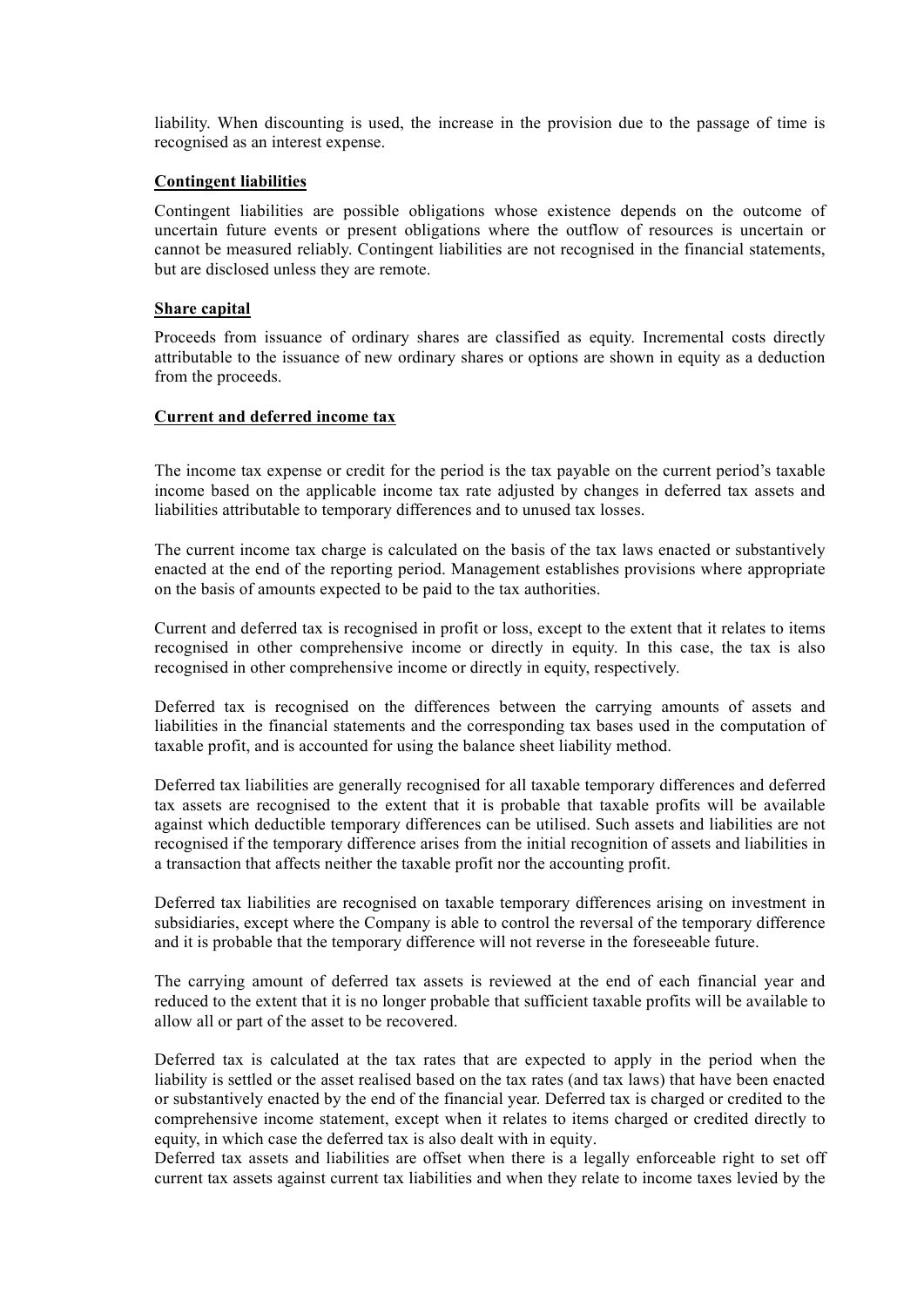liability. When discounting is used, the increase in the provision due to the passage of time is recognised as an interest expense.

#### **Contingent liabilities**

Contingent liabilities are possible obligations whose existence depends on the outcome of uncertain future events or present obligations where the outflow of resources is uncertain or cannot be measured reliably. Contingent liabilities are not recognised in the financial statements, but are disclosed unless they are remote.

#### **Share capital**

Proceeds from issuance of ordinary shares are classified as equity. Incremental costs directly attributable to the issuance of new ordinary shares or options are shown in equity as a deduction from the proceeds.

## **Current and deferred income tax**

The income tax expense or credit for the period is the tax payable on the current period's taxable income based on the applicable income tax rate adjusted by changes in deferred tax assets and liabilities attributable to temporary differences and to unused tax losses.

The current income tax charge is calculated on the basis of the tax laws enacted or substantively enacted at the end of the reporting period. Management establishes provisions where appropriate on the basis of amounts expected to be paid to the tax authorities.

Current and deferred tax is recognised in profit or loss, except to the extent that it relates to items recognised in other comprehensive income or directly in equity. In this case, the tax is also recognised in other comprehensive income or directly in equity, respectively.

Deferred tax is recognised on the differences between the carrying amounts of assets and liabilities in the financial statements and the corresponding tax bases used in the computation of taxable profit, and is accounted for using the balance sheet liability method.

Deferred tax liabilities are generally recognised for all taxable temporary differences and deferred tax assets are recognised to the extent that it is probable that taxable profits will be available against which deductible temporary differences can be utilised. Such assets and liabilities are not recognised if the temporary difference arises from the initial recognition of assets and liabilities in a transaction that affects neither the taxable profit nor the accounting profit.

Deferred tax liabilities are recognised on taxable temporary differences arising on investment in subsidiaries, except where the Company is able to control the reversal of the temporary difference and it is probable that the temporary difference will not reverse in the foreseeable future.

The carrying amount of deferred tax assets is reviewed at the end of each financial year and reduced to the extent that it is no longer probable that sufficient taxable profits will be available to allow all or part of the asset to be recovered.

Deferred tax is calculated at the tax rates that are expected to apply in the period when the liability is settled or the asset realised based on the tax rates (and tax laws) that have been enacted or substantively enacted by the end of the financial year. Deferred tax is charged or credited to the comprehensive income statement, except when it relates to items charged or credited directly to equity, in which case the deferred tax is also dealt with in equity.

Deferred tax assets and liabilities are offset when there is a legally enforceable right to set off current tax assets against current tax liabilities and when they relate to income taxes levied by the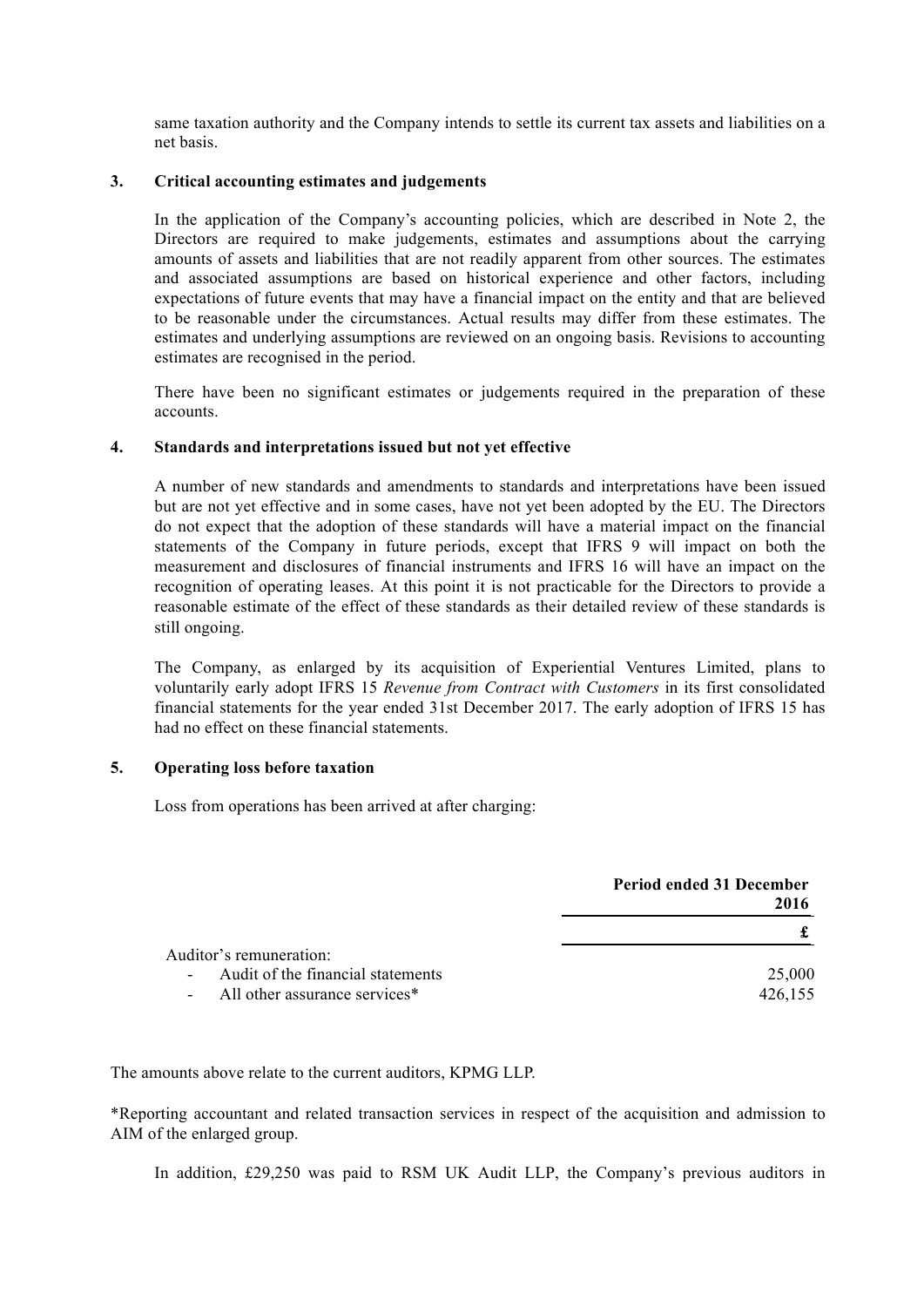same taxation authority and the Company intends to settle its current tax assets and liabilities on a net basis.

## **3. Critical accounting estimates and judgements**

In the application of the Company's accounting policies, which are described in Note 2, the Directors are required to make judgements, estimates and assumptions about the carrying amounts of assets and liabilities that are not readily apparent from other sources. The estimates and associated assumptions are based on historical experience and other factors, including expectations of future events that may have a financial impact on the entity and that are believed to be reasonable under the circumstances. Actual results may differ from these estimates. The estimates and underlying assumptions are reviewed on an ongoing basis. Revisions to accounting estimates are recognised in the period.

There have been no significant estimates or judgements required in the preparation of these accounts.

## **4. Standards and interpretations issued but not yet effective**

A number of new standards and amendments to standards and interpretations have been issued but are not yet effective and in some cases, have not yet been adopted by the EU. The Directors do not expect that the adoption of these standards will have a material impact on the financial statements of the Company in future periods, except that IFRS 9 will impact on both the measurement and disclosures of financial instruments and IFRS 16 will have an impact on the recognition of operating leases. At this point it is not practicable for the Directors to provide a reasonable estimate of the effect of these standards as their detailed review of these standards is still ongoing.

The Company, as enlarged by its acquisition of Experiential Ventures Limited, plans to voluntarily early adopt IFRS 15 *Revenue from Contract with Customers* in its first consolidated financial statements for the year ended 31st December 2017. The early adoption of IFRS 15 has had no effect on these financial statements.

## **5. Operating loss before taxation**

Loss from operations has been arrived at after charging:

|                                                                                | Period ended 31 December<br>2016 |
|--------------------------------------------------------------------------------|----------------------------------|
|                                                                                |                                  |
| Auditor's remuneration:<br>Audit of the financial statements<br>$\blacksquare$ | 25,000                           |
|                                                                                |                                  |
| All other assurance services <sup>*</sup><br>$\blacksquare$                    | 426,155                          |

The amounts above relate to the current auditors, KPMG LLP.

\*Reporting accountant and related transaction services in respect of the acquisition and admission to AIM of the enlarged group.

In addition, £29,250 was paid to RSM UK Audit LLP, the Company's previous auditors in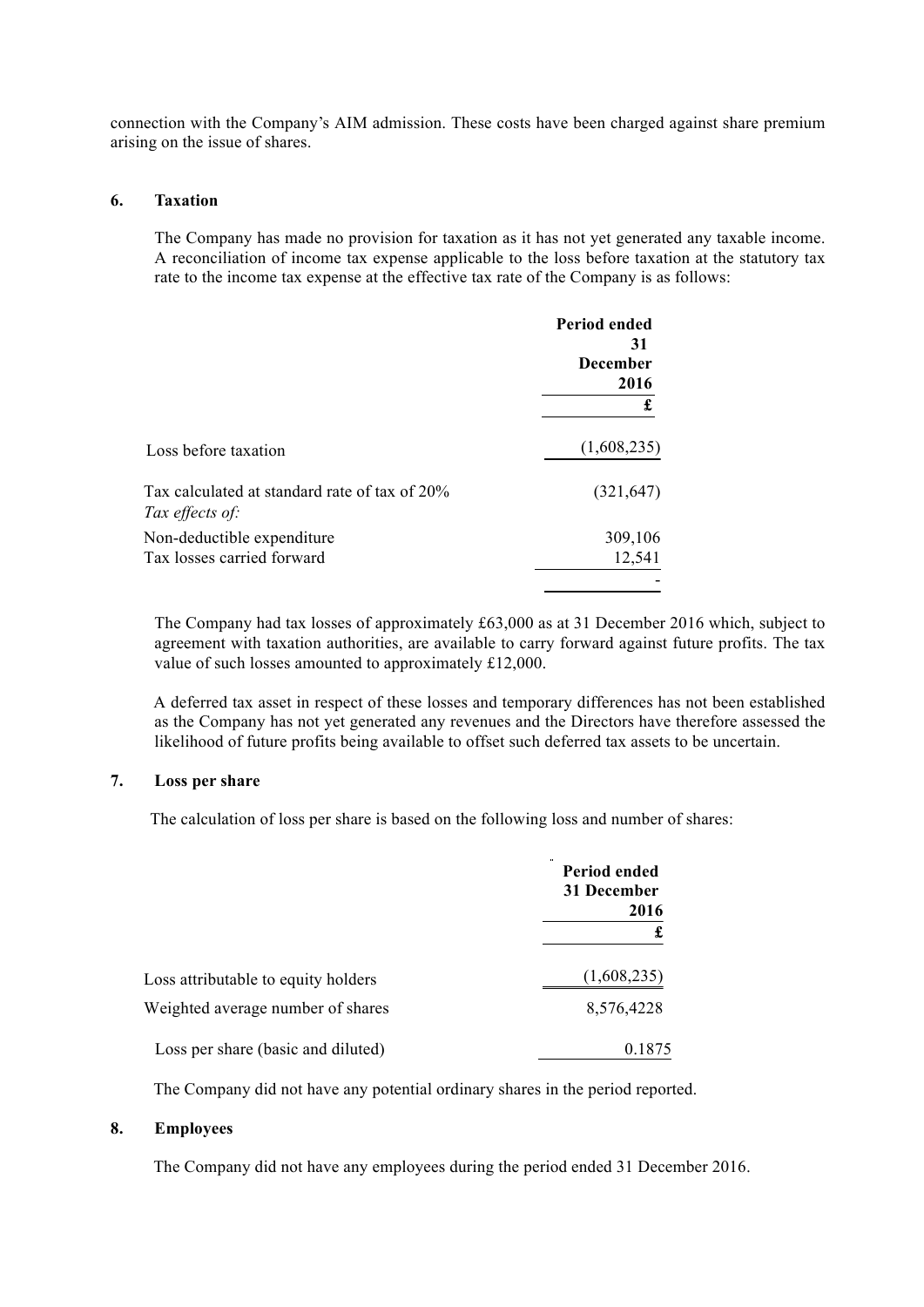connection with the Company's AIM admission. These costs have been charged against share premium arising on the issue of shares.

# **6. Taxation**

The Company has made no provision for taxation as it has not yet generated any taxable income. A reconciliation of income tax expense applicable to the loss before taxation at the statutory tax rate to the income tax expense at the effective tax rate of the Company is as follows:

|                                                                  | <b>Period ended</b><br>31 |  |
|------------------------------------------------------------------|---------------------------|--|
|                                                                  | <b>December</b>           |  |
|                                                                  | 2016                      |  |
|                                                                  | £                         |  |
| Loss before taxation                                             | (1,608,235)               |  |
| Tax calculated at standard rate of tax of 20%<br>Tax effects of: | (321, 647)                |  |
| Non-deductible expenditure                                       | 309,106                   |  |
| Tax losses carried forward                                       | 12,541                    |  |
|                                                                  |                           |  |

The Company had tax losses of approximately £63,000 as at 31 December 2016 which, subject to agreement with taxation authorities, are available to carry forward against future profits. The tax value of such losses amounted to approximately £12,000.

 A deferred tax asset in respect of these losses and temporary differences has not been established as the Company has not yet generated any revenues and the Directors have therefore assessed the likelihood of future profits being available to offset such deferred tax assets to be uncertain.

## **7. Loss per share**

The calculation of loss per share is based on the following loss and number of shares:

|                                     | Period ended<br>31 December<br>2016 |  |
|-------------------------------------|-------------------------------------|--|
|                                     | £                                   |  |
| Loss attributable to equity holders | (1,608,235)                         |  |
| Weighted average number of shares   | 8,576,4228                          |  |
| Loss per share (basic and diluted)  | 0.1875                              |  |

The Company did not have any potential ordinary shares in the period reported.

#### **8. Employees**

The Company did not have any employees during the period ended 31 December 2016.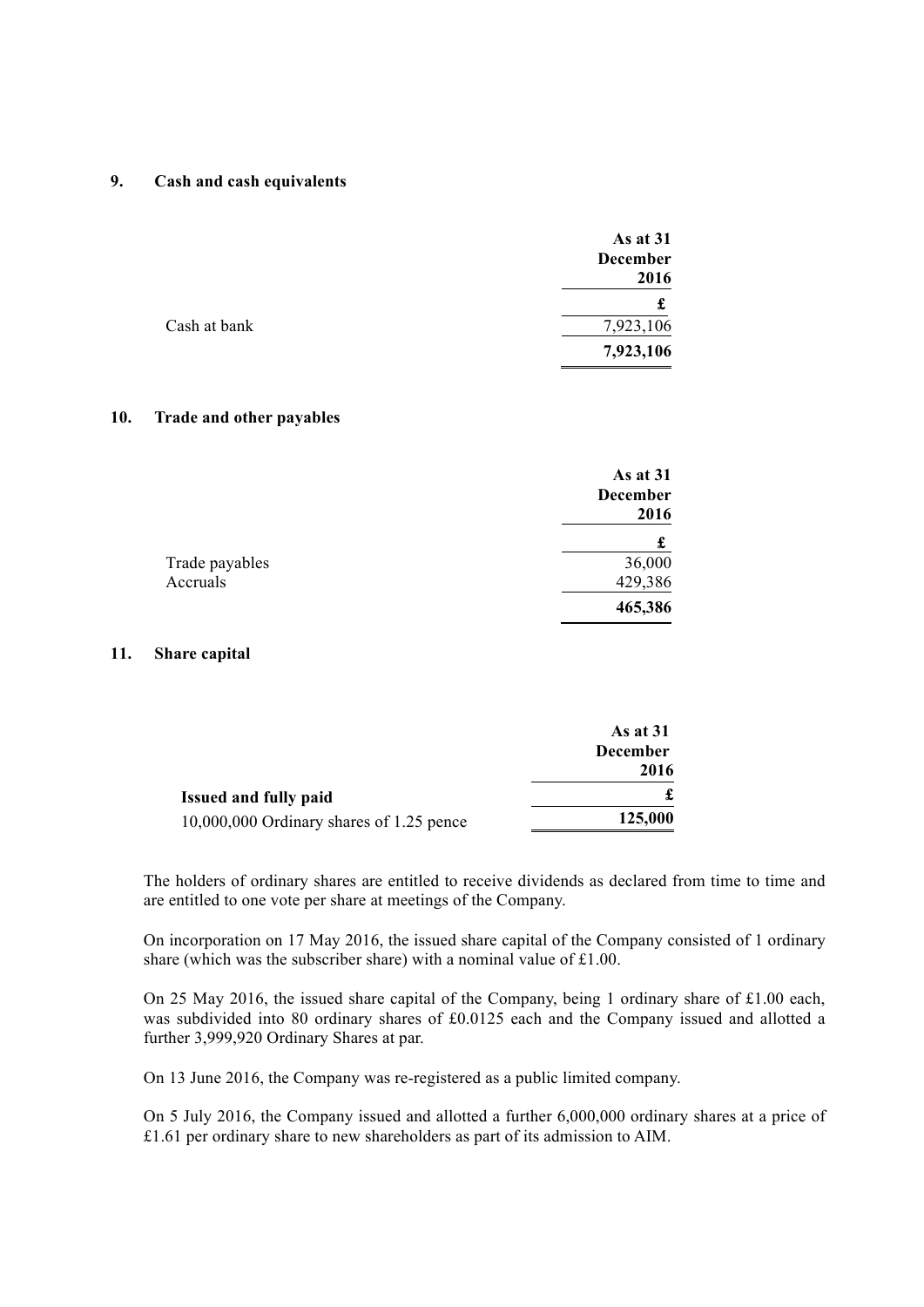## **9. Cash and cash equivalents**

|              | As at $31$<br><b>December</b> |
|--------------|-------------------------------|
|              | 2016                          |
|              |                               |
| Cash at bank | 7,923,106                     |
|              | 7,923,106                     |

#### **10. Trade and other payables**

|                | As at $31$       |
|----------------|------------------|
|                | December<br>2016 |
|                |                  |
| Trade payables | 36,000           |
| Accruals       | 429,386          |
|                | 465,386          |

#### **11. Share capital**

|                                            | As at $31$              |
|--------------------------------------------|-------------------------|
|                                            | <b>December</b><br>2016 |
|                                            |                         |
| <b>Issued and fully paid</b>               |                         |
| $10,000,000$ Ordinary shares of 1.25 pence | 125,000                 |

The holders of ordinary shares are entitled to receive dividends as declared from time to time and are entitled to one vote per share at meetings of the Company.

On incorporation on 17 May 2016, the issued share capital of the Company consisted of 1 ordinary share (which was the subscriber share) with a nominal value of £1.00.

On 25 May 2016, the issued share capital of the Company, being 1 ordinary share of £1.00 each, was subdivided into 80 ordinary shares of £0.0125 each and the Company issued and allotted a further 3,999,920 Ordinary Shares at par.

On 13 June 2016, the Company was re-registered as a public limited company.

On 5 July 2016, the Company issued and allotted a further 6,000,000 ordinary shares at a price of £1.61 per ordinary share to new shareholders as part of its admission to AIM.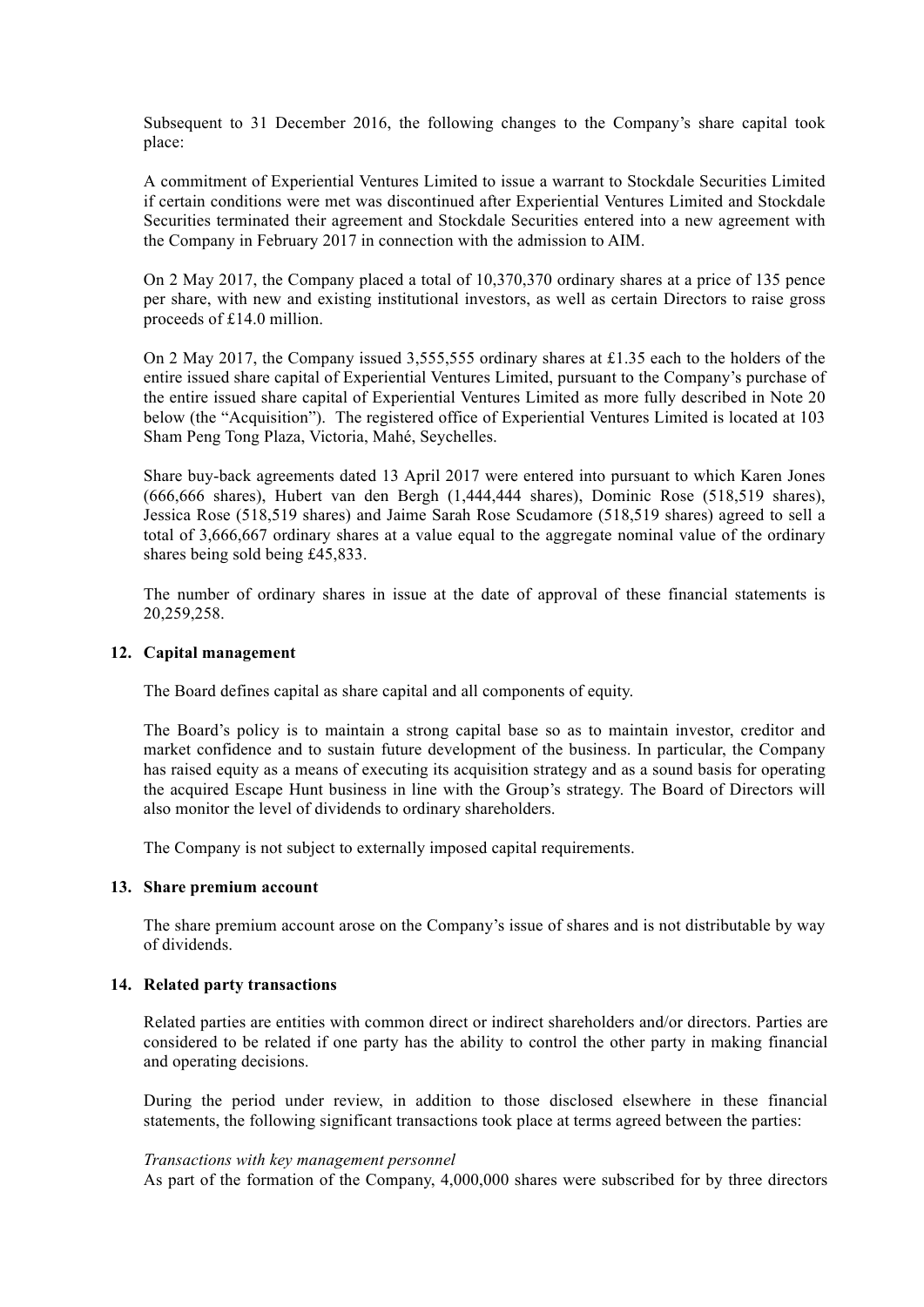Subsequent to 31 December 2016, the following changes to the Company's share capital took place:

A commitment of Experiential Ventures Limited to issue a warrant to Stockdale Securities Limited if certain conditions were met was discontinued after Experiential Ventures Limited and Stockdale Securities terminated their agreement and Stockdale Securities entered into a new agreement with the Company in February 2017 in connection with the admission to AIM.

On 2 May 2017, the Company placed a total of 10,370,370 ordinary shares at a price of 135 pence per share, with new and existing institutional investors, as well as certain Directors to raise gross proceeds of £14.0 million.

On 2 May 2017, the Company issued 3,555,555 ordinary shares at £1.35 each to the holders of the entire issued share capital of Experiential Ventures Limited, pursuant to the Company's purchase of the entire issued share capital of Experiential Ventures Limited as more fully described in Note 20 below (the "Acquisition"). The registered office of Experiential Ventures Limited is located at 103 Sham Peng Tong Plaza, Victoria, Mahé, Seychelles.

Share buy-back agreements dated 13 April 2017 were entered into pursuant to which Karen Jones (666,666 shares), Hubert van den Bergh (1,444,444 shares), Dominic Rose (518,519 shares), Jessica Rose (518,519 shares) and Jaime Sarah Rose Scudamore (518,519 shares) agreed to sell a total of 3,666,667 ordinary shares at a value equal to the aggregate nominal value of the ordinary shares being sold being £45,833.

The number of ordinary shares in issue at the date of approval of these financial statements is 20,259,258.

#### **12. Capital management**

The Board defines capital as share capital and all components of equity.

The Board's policy is to maintain a strong capital base so as to maintain investor, creditor and market confidence and to sustain future development of the business. In particular, the Company has raised equity as a means of executing its acquisition strategy and as a sound basis for operating the acquired Escape Hunt business in line with the Group's strategy. The Board of Directors will also monitor the level of dividends to ordinary shareholders.

The Company is not subject to externally imposed capital requirements.

#### **13. Share premium account**

The share premium account arose on the Company's issue of shares and is not distributable by way of dividends.

#### **14. Related party transactions**

Related parties are entities with common direct or indirect shareholders and/or directors. Parties are considered to be related if one party has the ability to control the other party in making financial and operating decisions.

During the period under review, in addition to those disclosed elsewhere in these financial statements, the following significant transactions took place at terms agreed between the parties:

#### *Transactions with key management personnel*

As part of the formation of the Company, 4,000,000 shares were subscribed for by three directors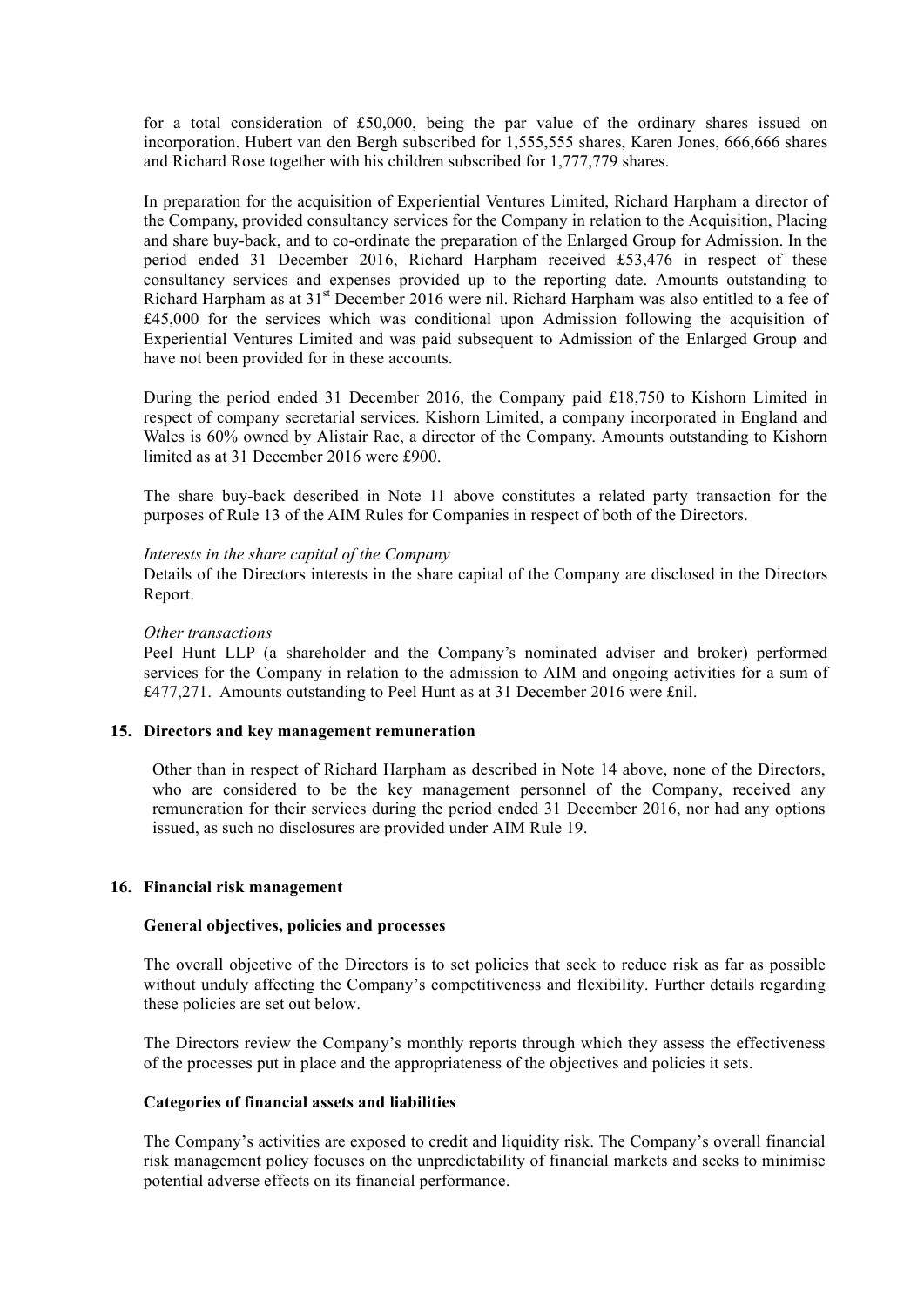for a total consideration of £50,000, being the par value of the ordinary shares issued on incorporation. Hubert van den Bergh subscribed for 1,555,555 shares, Karen Jones, 666,666 shares and Richard Rose together with his children subscribed for 1,777,779 shares.

In preparation for the acquisition of Experiential Ventures Limited, Richard Harpham a director of the Company, provided consultancy services for the Company in relation to the Acquisition, Placing and share buy-back, and to co-ordinate the preparation of the Enlarged Group for Admission. In the period ended 31 December 2016, Richard Harpham received £53,476 in respect of these consultancy services and expenses provided up to the reporting date. Amounts outstanding to Richard Harpham as at 31<sup>st</sup> December 2016 were nil. Richard Harpham was also entitled to a fee of £45,000 for the services which was conditional upon Admission following the acquisition of Experiential Ventures Limited and was paid subsequent to Admission of the Enlarged Group and have not been provided for in these accounts.

During the period ended 31 December 2016, the Company paid £18,750 to Kishorn Limited in respect of company secretarial services. Kishorn Limited, a company incorporated in England and Wales is 60% owned by Alistair Rae, a director of the Company. Amounts outstanding to Kishorn limited as at 31 December 2016 were £900.

The share buy-back described in Note 11 above constitutes a related party transaction for the purposes of Rule 13 of the AIM Rules for Companies in respect of both of the Directors.

#### *Interests in the share capital of the Company*

Details of the Directors interests in the share capital of the Company are disclosed in the Directors Report.

#### *Other transactions*

Peel Hunt LLP (a shareholder and the Company's nominated adviser and broker) performed services for the Company in relation to the admission to AIM and ongoing activities for a sum of £477,271. Amounts outstanding to Peel Hunt as at 31 December 2016 were £nil.

## **15. Directors and key management remuneration**

Other than in respect of Richard Harpham as described in Note 14 above, none of the Directors, who are considered to be the key management personnel of the Company, received any remuneration for their services during the period ended 31 December 2016, nor had any options issued, as such no disclosures are provided under AIM Rule 19.

## **16. Financial risk management**

## **General objectives, policies and processes**

The overall objective of the Directors is to set policies that seek to reduce risk as far as possible without unduly affecting the Company's competitiveness and flexibility. Further details regarding these policies are set out below.

The Directors review the Company's monthly reports through which they assess the effectiveness of the processes put in place and the appropriateness of the objectives and policies it sets.

#### **Categories of financial assets and liabilities**

The Company's activities are exposed to credit and liquidity risk. The Company's overall financial risk management policy focuses on the unpredictability of financial markets and seeks to minimise potential adverse effects on its financial performance.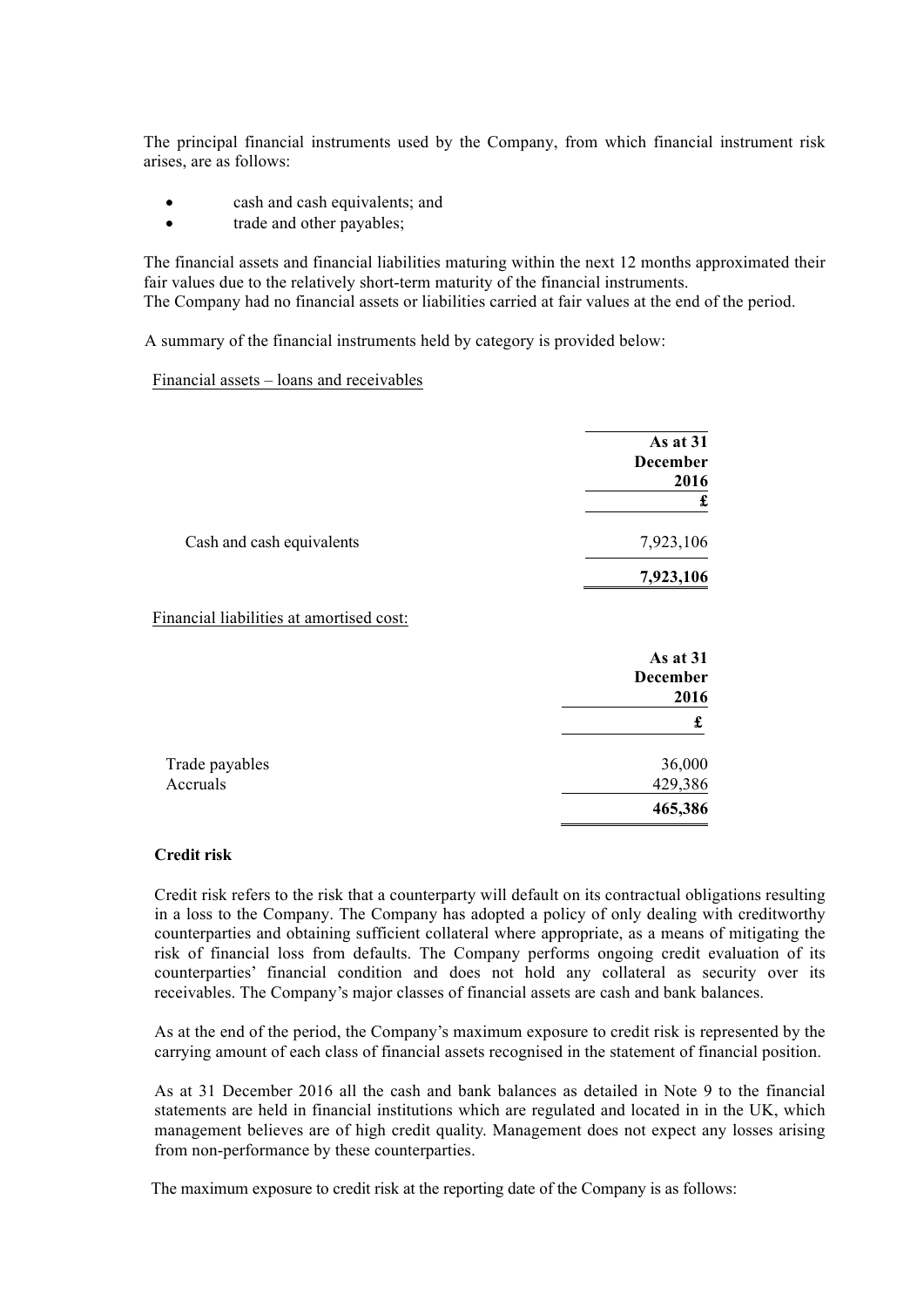The principal financial instruments used by the Company, from which financial instrument risk arises, are as follows:

- cash and cash equivalents; and
- trade and other payables;

The financial assets and financial liabilities maturing within the next 12 months approximated their fair values due to the relatively short-term maturity of the financial instruments. The Company had no financial assets or liabilities carried at fair values at the end of the period.

A summary of the financial instruments held by category is provided below:

## Financial assets – loans and receivables

|                           | As at 31<br>December<br>2016<br>t |
|---------------------------|-----------------------------------|
| Cash and cash equivalents | 7,923,106                         |
|                           | 7,923,106                         |

Financial liabilities at amortised cost:

|                | As at 31<br>December<br>2016 |
|----------------|------------------------------|
|                | £                            |
| Trade payables | 36,000                       |
| Accruals       | 429,386                      |
|                | 465,386                      |

## **Credit risk**

Credit risk refers to the risk that a counterparty will default on its contractual obligations resulting in a loss to the Company. The Company has adopted a policy of only dealing with creditworthy counterparties and obtaining sufficient collateral where appropriate, as a means of mitigating the risk of financial loss from defaults. The Company performs ongoing credit evaluation of its counterparties' financial condition and does not hold any collateral as security over its receivables. The Company's major classes of financial assets are cash and bank balances.

As at the end of the period, the Company's maximum exposure to credit risk is represented by the carrying amount of each class of financial assets recognised in the statement of financial position.

As at 31 December 2016 all the cash and bank balances as detailed in Note 9 to the financial statements are held in financial institutions which are regulated and located in in the UK, which management believes are of high credit quality. Management does not expect any losses arising from non-performance by these counterparties.

The maximum exposure to credit risk at the reporting date of the Company is as follows: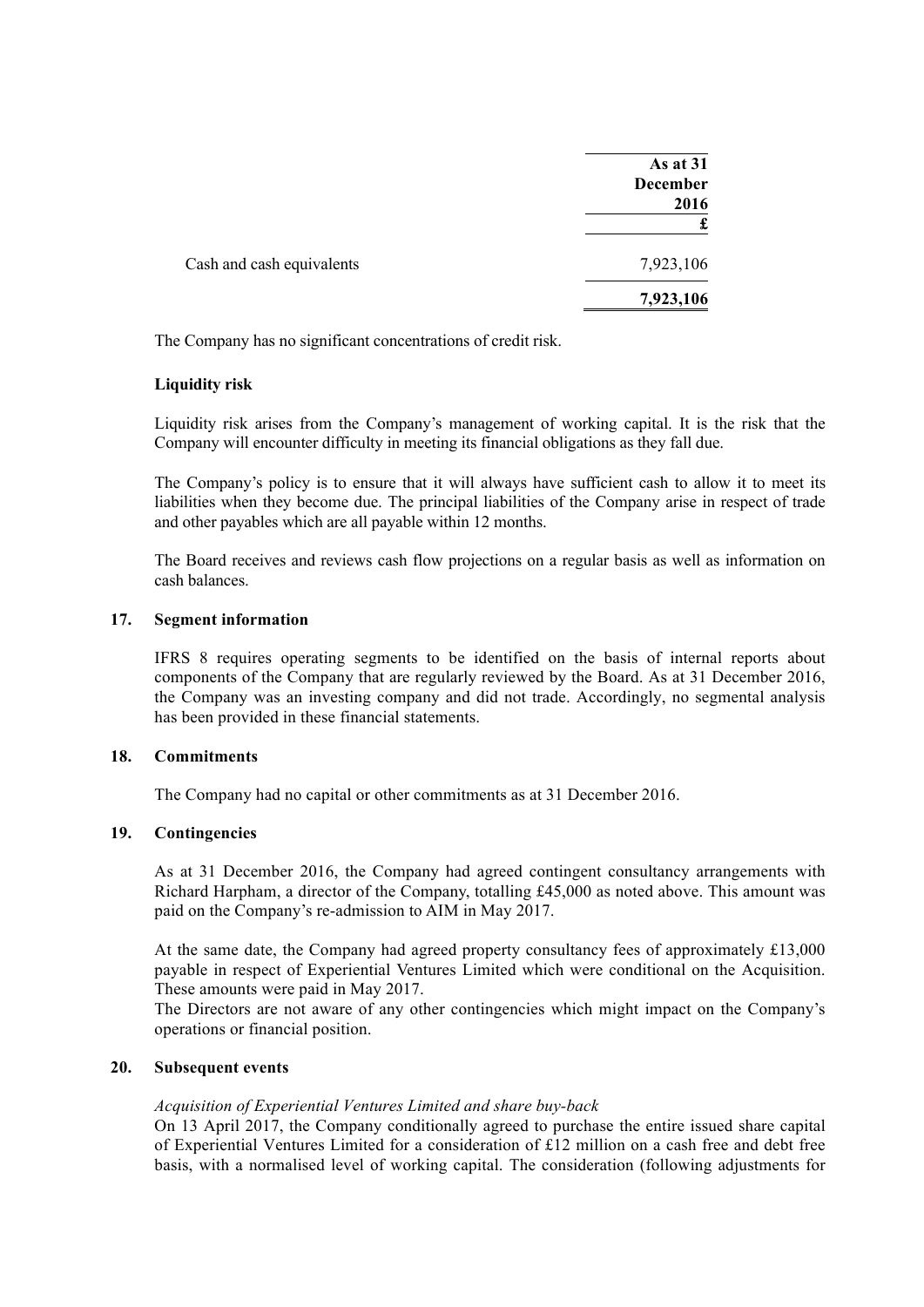|                           | As at 31<br>December<br>2016 |
|---------------------------|------------------------------|
|                           |                              |
| Cash and cash equivalents | 7,923,106                    |
|                           | 7,923,106                    |

The Company has no significant concentrations of credit risk.

## **Liquidity risk**

Liquidity risk arises from the Company's management of working capital. It is the risk that the Company will encounter difficulty in meeting its financial obligations as they fall due.

The Company's policy is to ensure that it will always have sufficient cash to allow it to meet its liabilities when they become due. The principal liabilities of the Company arise in respect of trade and other payables which are all payable within 12 months.

The Board receives and reviews cash flow projections on a regular basis as well as information on cash balances.

## **17. Segment information**

IFRS 8 requires operating segments to be identified on the basis of internal reports about components of the Company that are regularly reviewed by the Board. As at 31 December 2016, the Company was an investing company and did not trade. Accordingly, no segmental analysis has been provided in these financial statements.

## **18. Commitments**

The Company had no capital or other commitments as at 31 December 2016.

## **19. Contingencies**

As at 31 December 2016, the Company had agreed contingent consultancy arrangements with Richard Harpham, a director of the Company, totalling £45,000 as noted above. This amount was paid on the Company's re-admission to AIM in May 2017.

At the same date, the Company had agreed property consultancy fees of approximately £13,000 payable in respect of Experiential Ventures Limited which were conditional on the Acquisition. These amounts were paid in May 2017.

The Directors are not aware of any other contingencies which might impact on the Company's operations or financial position.

## **20. Subsequent events**

## *Acquisition of Experiential Ventures Limited and share buy-back*

On 13 April 2017, the Company conditionally agreed to purchase the entire issued share capital of Experiential Ventures Limited for a consideration of £12 million on a cash free and debt free basis, with a normalised level of working capital. The consideration (following adjustments for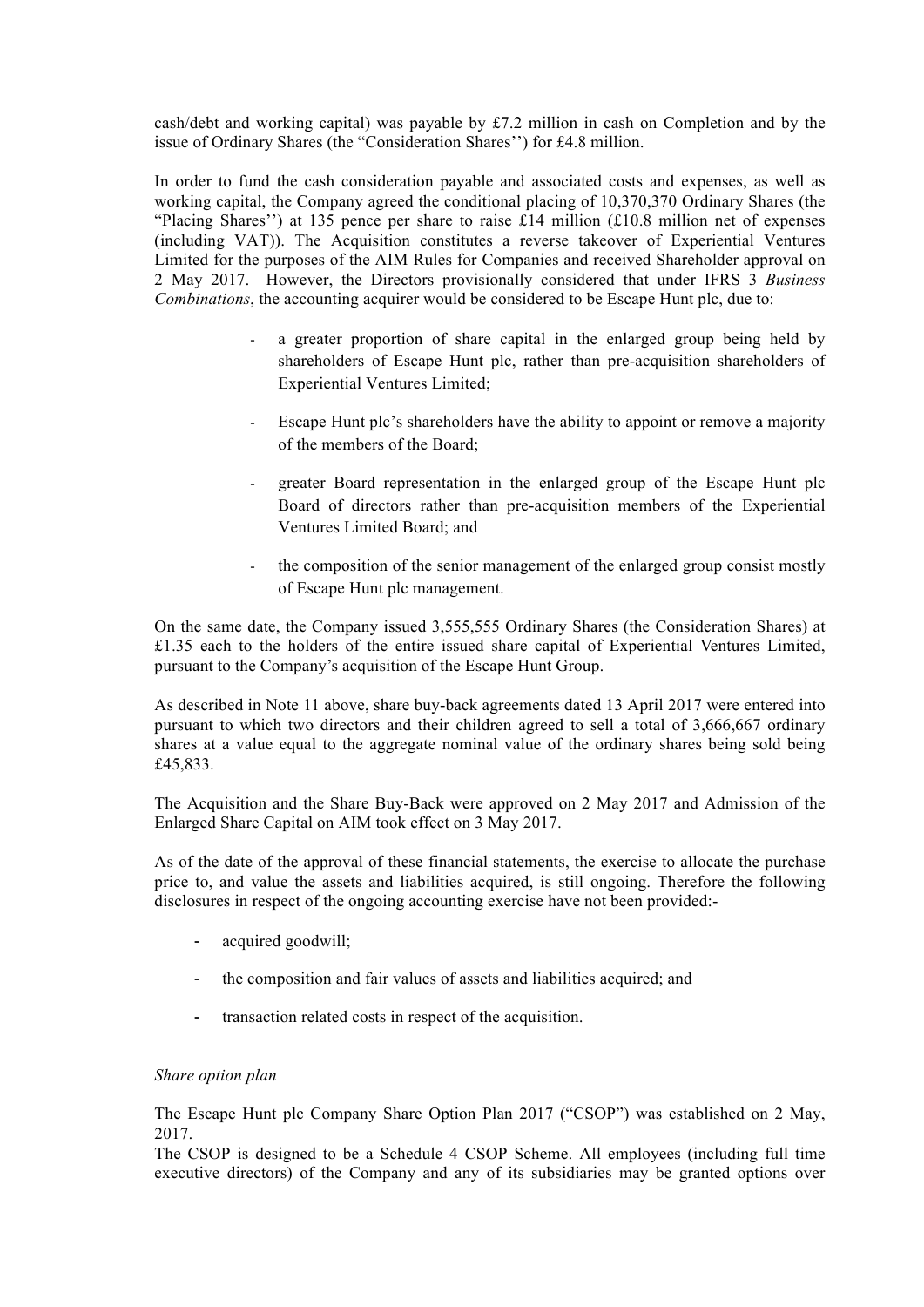cash/debt and working capital) was payable by £7.2 million in cash on Completion and by the issue of Ordinary Shares (the "Consideration Shares'') for £4.8 million.

In order to fund the cash consideration payable and associated costs and expenses, as well as working capital, the Company agreed the conditional placing of 10,370,370 Ordinary Shares (the "Placing Shares'') at 135 pence per share to raise £14 million (£10.8 million net of expenses (including VAT)). The Acquisition constitutes a reverse takeover of Experiential Ventures Limited for the purposes of the AIM Rules for Companies and received Shareholder approval on 2 May 2017. However, the Directors provisionally considered that under IFRS 3 *Business Combinations*, the accounting acquirer would be considered to be Escape Hunt plc, due to:

- a greater proportion of share capital in the enlarged group being held by shareholders of Escape Hunt plc, rather than pre-acquisition shareholders of Experiential Ventures Limited;
- Escape Hunt plc's shareholders have the ability to appoint or remove a majority of the members of the Board;
- greater Board representation in the enlarged group of the Escape Hunt plc Board of directors rather than pre-acquisition members of the Experiential Ventures Limited Board; and
- the composition of the senior management of the enlarged group consist mostly of Escape Hunt plc management.

On the same date, the Company issued 3,555,555 Ordinary Shares (the Consideration Shares) at £1.35 each to the holders of the entire issued share capital of Experiential Ventures Limited, pursuant to the Company's acquisition of the Escape Hunt Group.

As described in Note 11 above, share buy-back agreements dated 13 April 2017 were entered into pursuant to which two directors and their children agreed to sell a total of 3,666,667 ordinary shares at a value equal to the aggregate nominal value of the ordinary shares being sold being £45,833.

The Acquisition and the Share Buy-Back were approved on 2 May 2017 and Admission of the Enlarged Share Capital on AIM took effect on 3 May 2017.

As of the date of the approval of these financial statements, the exercise to allocate the purchase price to, and value the assets and liabilities acquired, is still ongoing. Therefore the following disclosures in respect of the ongoing accounting exercise have not been provided:-

- acquired goodwill;
- the composition and fair values of assets and liabilities acquired; and
- transaction related costs in respect of the acquisition.

## *Share option plan*

The Escape Hunt plc Company Share Option Plan 2017 ("CSOP") was established on 2 May, 2017.

The CSOP is designed to be a Schedule 4 CSOP Scheme. All employees (including full time executive directors) of the Company and any of its subsidiaries may be granted options over